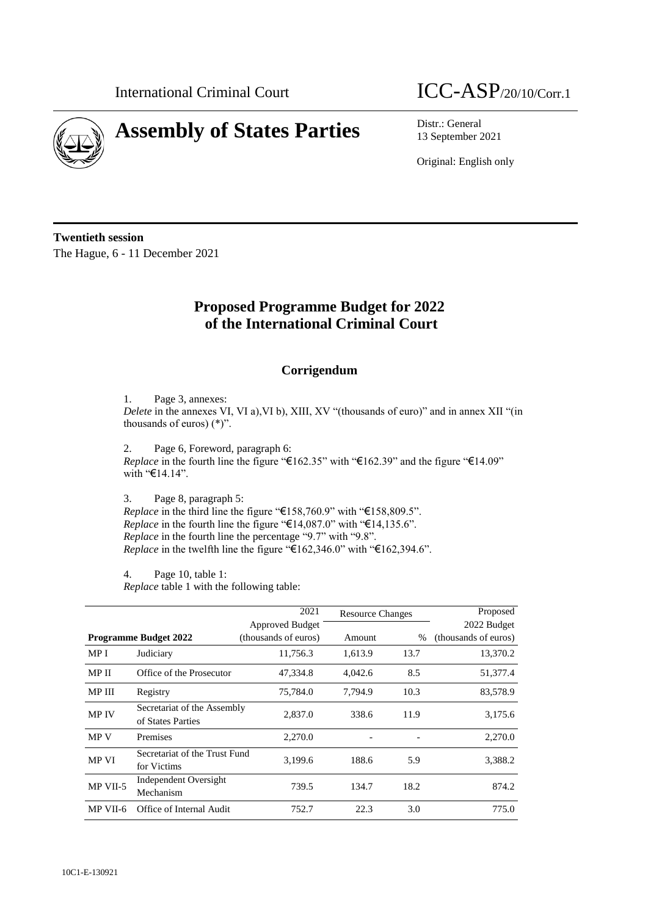

# **Assembly of States Parties** Distr.: General

## International Criminal Court  $\text{ICC-ASP}_{/20/10/Corr.1}$

13 September 2021

Original: English only

**Twentieth session** The Hague, 6 - 11 December 2021

### **Proposed Programme Budget for 2022 of the International Criminal Court**

### **Corrigendum**

1. Page 3, annexes:

*Delete* in the annexes VI, VI a), VI b), XIII, XV "(thousands of euro)" and in annex XII "(in thousands of euros) (\*)".

2. Page 6, Foreword, paragraph 6: *Replace* in the fourth line the figure "€162.35" with "€162.39" and the figure "€14.09" with "€14.14".

3. Page 8, paragraph 5:

*Replace* in the third line the figure "€158,760.9" with "€158,809.5". *Replace* in the fourth line the figure "€14,087.0" with "€14,135.6". *Replace* in the fourth line the percentage "9.7" with "9.8". *Replace* in the twelfth line the figure "€162,346.0" with "€162,394.6".

4. Page 10, table 1: *Replace* table 1 with the following table:

|               |                                                  | 2021                 | <b>Resource Changes</b> |      | Proposed             |
|---------------|--------------------------------------------------|----------------------|-------------------------|------|----------------------|
|               |                                                  | Approved Budget      |                         |      | 2022 Budget          |
|               | <b>Programme Budget 2022</b>                     | (thousands of euros) | Amount                  | $\%$ | (thousands of euros) |
| MP I          | Judiciary                                        | 11,756.3             | 1,613.9                 | 13.7 | 13,370.2             |
| MP II         | Office of the Prosecutor                         | 47,334.8             | 4,042.6                 | 8.5  | 51,377.4             |
| <b>MP III</b> | Registry                                         | 75,784.0             | 7,794.9                 | 10.3 | 83,578.9             |
| <b>MP IV</b>  | Secretariat of the Assembly<br>of States Parties | 2,837.0              | 338.6                   | 11.9 | 3,175.6              |
| <b>MPV</b>    | Premises                                         | 2,270.0              |                         |      | 2,270.0              |
| MP VI         | Secretariat of the Trust Fund<br>for Victims     | 3,199.6              | 188.6                   | 5.9  | 3,388.2              |
| MP VII-5      | Independent Oversight<br>Mechanism               | 739.5                | 134.7                   | 18.2 | 874.2                |
| MP VII-6      | Office of Internal Audit                         | 752.7                | 22.3                    | 3.0  | 775.0                |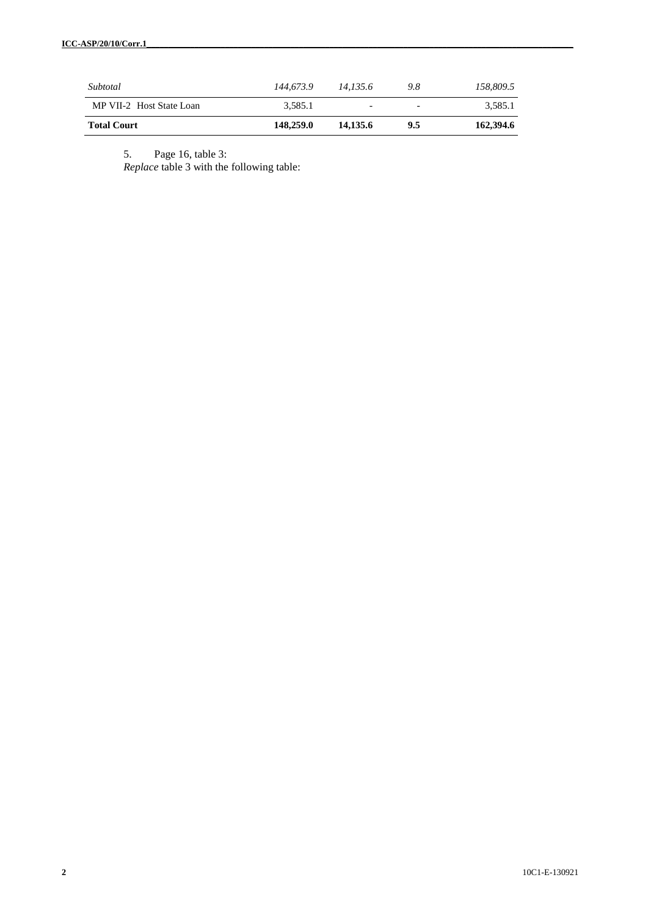| Subtotal                 | 144,673.9 | 14.135.6                 | 9.8 | 158,809.5 |
|--------------------------|-----------|--------------------------|-----|-----------|
| MP VII-2 Host State Loan | 3.585.1   | $\overline{\phantom{0}}$ | -   | 3.585.1   |
| <b>Total Court</b>       | 148,259.0 | 14.135.6                 | 9.5 | 162,394.6 |

5. Page 16, table 3:

*Replace* table 3 with the following table: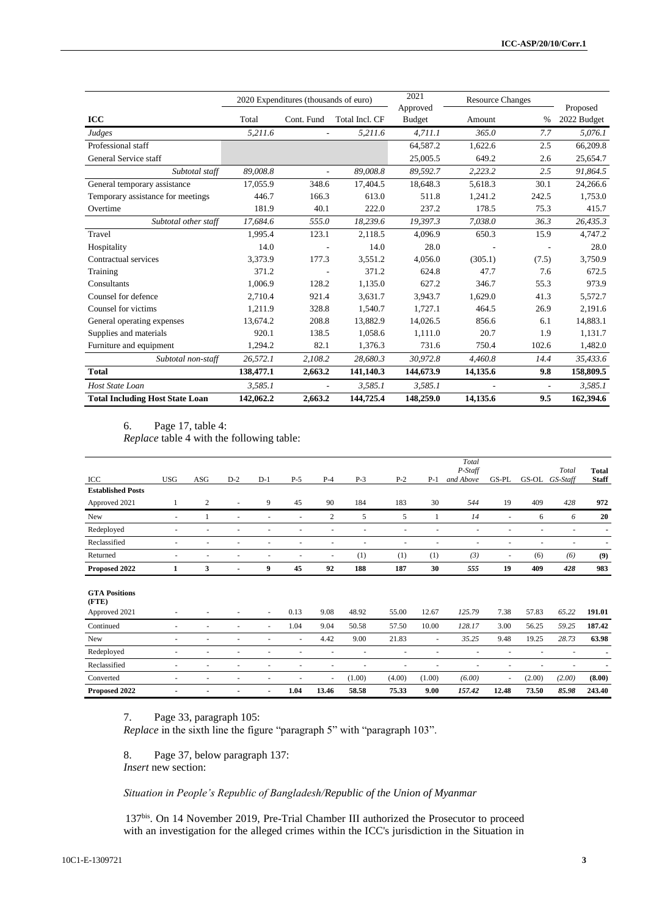|                                        | 2020 Expenditures (thousands of euro) |            |                | 2021                      | <b>Resource Changes</b> |       |                         |  |
|----------------------------------------|---------------------------------------|------------|----------------|---------------------------|-------------------------|-------|-------------------------|--|
| ICC                                    | Total                                 | Cont. Fund | Total Incl. CF | Approved<br><b>Budget</b> | Amount                  | $\%$  | Proposed<br>2022 Budget |  |
| Judges                                 | 5,211.6                               | ä,         | 5,211.6        | 4,711.1                   | 365.0                   | 7.7   | 5.076.1                 |  |
| Professional staff                     |                                       |            |                | 64,587.2                  | 1,622.6                 | 2.5   | 66,209.8                |  |
| General Service staff                  |                                       |            |                | 25,005.5                  | 649.2                   | 2.6   | 25,654.7                |  |
| Subtotal staff                         | 89,008.8                              | ٠          | 89,008.8       | 89,592.7                  | 2,223.2                 | 2.5   | 91,864.5                |  |
| General temporary assistance           | 17,055.9                              | 348.6      | 17,404.5       | 18,648.3                  | 5,618.3                 | 30.1  | 24,266.6                |  |
| Temporary assistance for meetings      | 446.7                                 | 166.3      | 613.0          | 511.8                     | 1,241.2                 | 242.5 | 1,753.0                 |  |
| Overtime                               | 181.9                                 | 40.1       | 222.0          | 237.2                     | 178.5                   | 75.3  | 415.7                   |  |
| Subtotal other staff                   | 17.684.6                              | 555.0      | 18.239.6       | 19.397.3                  | 7.038.0                 | 36.3  | 26,435.3                |  |
| Travel                                 | 1.995.4                               | 123.1      | 2.118.5        | 4.096.9                   | 650.3                   | 15.9  | 4.747.2                 |  |
| Hospitality                            | 14.0                                  |            | 14.0           | 28.0                      |                         |       | 28.0                    |  |
| Contractual services                   | 3,373.9                               | 177.3      | 3,551.2        | 4,056.0                   | (305.1)                 | (7.5) | 3,750.9                 |  |
| Training                               | 371.2                                 |            | 371.2          | 624.8                     | 47.7                    | 7.6   | 672.5                   |  |
| Consultants                            | 1.006.9                               | 128.2      | 1,135.0        | 627.2                     | 346.7                   | 55.3  | 973.9                   |  |
| Counsel for defence                    | 2,710.4                               | 921.4      | 3,631.7        | 3,943.7                   | 1,629.0                 | 41.3  | 5,572.7                 |  |
| Counsel for victims                    | 1.211.9                               | 328.8      | 1,540.7        | 1.727.1                   | 464.5                   | 26.9  | 2.191.6                 |  |
| General operating expenses             | 13,674.2                              | 208.8      | 13,882.9       | 14,026.5                  | 856.6                   | 6.1   | 14,883.1                |  |
| Supplies and materials                 | 920.1                                 | 138.5      | 1,058.6        | 1,111.0                   | 20.7                    | 1.9   | 1,131.7                 |  |
| Furniture and equipment                | 1.294.2                               | 82.1       | 1,376.3        | 731.6                     | 750.4                   | 102.6 | 1,482.0                 |  |
| Subtotal non-staff                     | 26,572.1                              | 2.108.2    | 28,680.3       | 30.972.8                  | 4.460.8                 | 14.4  | 35.433.6                |  |
| <b>Total</b>                           | 138,477.1                             | 2,663.2    | 141,140.3      | 144,673.9                 | 14,135.6                | 9.8   | 158,809.5               |  |
| Host State Loan                        | 3,585.1                               | ٠          | 3,585.1        | 3,585.1                   |                         | ٠     | 3,585.1                 |  |
| <b>Total Including Host State Loan</b> | 142,062.2                             | 2,663.2    | 144,725.4      | 148,259.0                 | 14,135.6                | 9.5   | 162,394.6               |  |

#### 6. Page 17, table 4:

*Replace* table 4 with the following table:

| ICC                                            | <b>USG</b>               | ASG                      | $D-2$ | $D-1$                    | $P-5$                    | $P-4$          | $P-3$ | $P-2$ | $P-1$  | Total<br>P-Staff<br>and Above | GS-PL  | GS-OL | Total<br>GS-Staff        | <b>Total</b><br><b>Staff</b> |
|------------------------------------------------|--------------------------|--------------------------|-------|--------------------------|--------------------------|----------------|-------|-------|--------|-------------------------------|--------|-------|--------------------------|------------------------------|
| <b>Established Posts</b>                       |                          |                          |       |                          |                          |                |       |       |        |                               |        |       |                          |                              |
| Approved 2021                                  |                          | $\mathfrak{2}$           |       | 9                        | 45                       | 90             | 184   | 183   | 30     | 544                           | 19     | 409   | 428                      | 972                          |
| New                                            | ٠                        |                          |       | ٠                        | $\overline{\phantom{a}}$ | $\overline{c}$ | 5     | 5     |        | 14                            | ٠      | 6     | 6                        | 20                           |
| Redeployed                                     | $\overline{\phantom{a}}$ |                          |       |                          |                          | ٠              |       | ٠     | ٠      | $\overline{\phantom{a}}$      | ٠      |       | $\overline{\phantom{a}}$ |                              |
| Reclassified                                   | ٠                        | ٠                        |       | ٠                        | $\overline{\phantom{a}}$ | ٠              | ٠     | ٠     | ٠      | ٠                             | ٠      | ٠     | $\overline{\phantom{a}}$ | ٠                            |
| Returned                                       | ٠                        | ٠                        |       |                          | $\overline{\phantom{a}}$ | ٠              | (1)   | (1)   | (1)    | (3)                           | $\sim$ | (6)   | (6)                      | (9)                          |
| Proposed 2022                                  |                          | 3                        |       | 9                        | 45                       | 92             | 188   | 187   | 30     | 555                           | 19     | 409   | 428                      | 983                          |
| <b>GTA Positions</b><br>(FTE)<br>Approved 2021 |                          |                          |       | $\overline{\phantom{a}}$ | 0.13                     | 9.08           | 48.92 | 55.00 | 12.67  | 125.79                        | 7.38   | 57.83 | 65.22                    | 191.01                       |
| Continued                                      | ٠                        | ٠                        |       | $\sim$                   | 1.04                     | 9.04           | 50.58 | 57.50 | 10.00  | 128.17                        | 3.00   | 56.25 | 59.25                    | 187.42                       |
| New                                            | $\sim$                   | $\overline{\phantom{a}}$ |       | ٠                        | $\overline{\phantom{a}}$ | 4.42           | 9.00  | 21.83 | $\sim$ | 35.25                         | 9.48   | 19.25 | 28.73                    | 63.98                        |
| Redeployed                                     | ٠                        |                          |       |                          |                          |                |       |       |        |                               |        |       |                          |                              |

Reclassified - - - - - - - - - *-* - - *-* **-** Converted - - - - - - (1.00) (4.00) (1.00) *(6.00)* - (2.00) *(2.00)* **(8.00) Proposed 2022 - - - - 1.04 13.46 58.58 75.33 9.00** *157.42* **12.48 73.50** *85.98* **243.40**

7. Page 33, paragraph 105:

*Replace* in the sixth line the figure "paragraph 5" with "paragraph 103".

8. Page 37, below paragraph 137: *Insert* new section:

*Situation in People's Republic of Bangladesh/Republic of the Union of Myanmar*

137bis . On 14 November 2019, Pre-Trial Chamber III authorized the Prosecutor to proceed with an investigation for the alleged crimes within the ICC's jurisdiction in the Situation in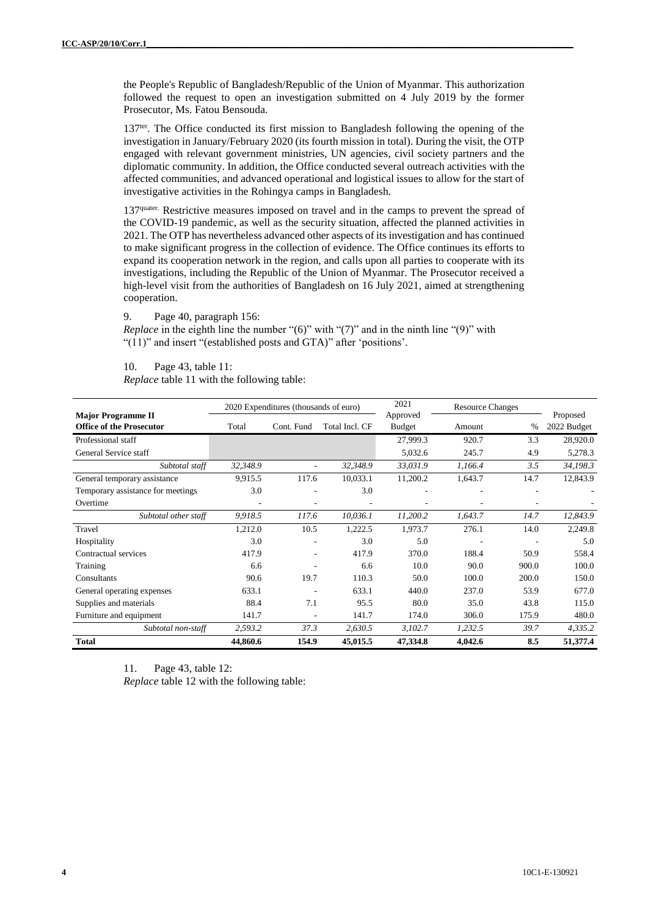the People's Republic of Bangladesh/Republic of the Union of Myanmar. This authorization followed the request to open an investigation submitted on 4 July 2019 by the former Prosecutor, Ms. Fatou Bensouda.

137<sup>ter</sup>. The Office conducted its first mission to Bangladesh following the opening of the investigation in January/February 2020 (its fourth mission in total). During the visit, the OTP engaged with relevant government ministries, UN agencies, civil society partners and the diplomatic community. In addition, the Office conducted several outreach activities with the affected communities, and advanced operational and logistical issues to allow for the start of investigative activities in the Rohingya camps in Bangladesh.

137quater. Restrictive measures imposed on travel and in the camps to prevent the spread of the COVID-19 pandemic, as well as the security situation, affected the planned activities in 2021. The OTP has nevertheless advanced other aspects of its investigation and has continued to make significant progress in the collection of evidence. The Office continues its efforts to expand its cooperation network in the region, and calls upon all parties to cooperate with its investigations, including the Republic of the Union of Myanmar. The Prosecutor received a high-level visit from the authorities of Bangladesh on 16 July 2021, aimed at strengthening cooperation.

9. Page 40, paragraph 156:

*Replace* in the eighth line the number "(6)" with "(7)" and in the ninth line "(9)" with "(11)" and insert "(established posts and GTA)" after 'positions'.

10. Page 43, table 11:

*Replace* table 11 with the following table:

|                                                              |          | 2020 Expenditures (thousands of euro) |                | 2021                      | <b>Resource Changes</b> |               |                         |  |
|--------------------------------------------------------------|----------|---------------------------------------|----------------|---------------------------|-------------------------|---------------|-------------------------|--|
| <b>Major Programme II</b><br><b>Office of the Prosecutor</b> | Total    | Cont. Fund                            | Total Incl. CF | Approved<br><b>Budget</b> | Amount                  | $\frac{0}{0}$ | Proposed<br>2022 Budget |  |
|                                                              |          |                                       |                |                           |                         |               |                         |  |
| Professional staff                                           |          |                                       |                | 27,999.3                  | 920.7                   | 3.3           | 28,920.0                |  |
| General Service staff                                        |          |                                       |                | 5,032.6                   | 245.7                   | 4.9           | 5,278.3                 |  |
| Subtotal staff                                               | 32,348.9 | ٠                                     | 32,348.9       | 33,031.9                  | 1,166.4                 | 3.5           | 34,198.3                |  |
| General temporary assistance                                 | 9,915.5  | 117.6                                 | 10,033.1       | 11,200.2                  | 1,643.7                 | 14.7          | 12,843.9                |  |
| Temporary assistance for meetings                            | 3.0      |                                       | 3.0            |                           |                         |               |                         |  |
| Overtime                                                     |          |                                       |                |                           |                         |               |                         |  |
| Subtotal other staff                                         | 9,918.5  | 117.6                                 | 10,036.1       | 11,200.2                  | 1,643.7                 | 14.7          | 12,843.9                |  |
| Travel                                                       | 1,212.0  | 10.5                                  | 1,222.5        | 1,973.7                   | 276.1                   | 14.0          | 2,249.8                 |  |
| Hospitality                                                  | 3.0      |                                       | 3.0            | 5.0                       |                         | ٠             | 5.0                     |  |
| Contractual services                                         | 417.9    | ٠                                     | 417.9          | 370.0                     | 188.4                   | 50.9          | 558.4                   |  |
| Training                                                     | 6.6      |                                       | 6.6            | 10.0                      | 90.0                    | 900.0         | 100.0                   |  |
| Consultants                                                  | 90.6     | 19.7                                  | 110.3          | 50.0                      | 100.0                   | 200.0         | 150.0                   |  |
| General operating expenses                                   | 633.1    |                                       | 633.1          | 440.0                     | 237.0                   | 53.9          | 677.0                   |  |
| Supplies and materials                                       | 88.4     | 7.1                                   | 95.5           | 80.0                      | 35.0                    | 43.8          | 115.0                   |  |
| Furniture and equipment                                      | 141.7    | ٠                                     | 141.7          | 174.0                     | 306.0                   | 175.9         | 480.0                   |  |
| Subtotal non-staff                                           | 2,593.2  | 37.3                                  | 2,630.5        | 3,102.7                   | 1,232.5                 | 39.7          | 4,335.2                 |  |
| <b>Total</b>                                                 | 44,860.6 | 154.9                                 | 45,015.5       | 47,334.8                  | 4,042.6                 | 8.5           | 51,377.4                |  |

11. Page 43, table 12: *Replace* table 12 with the following table: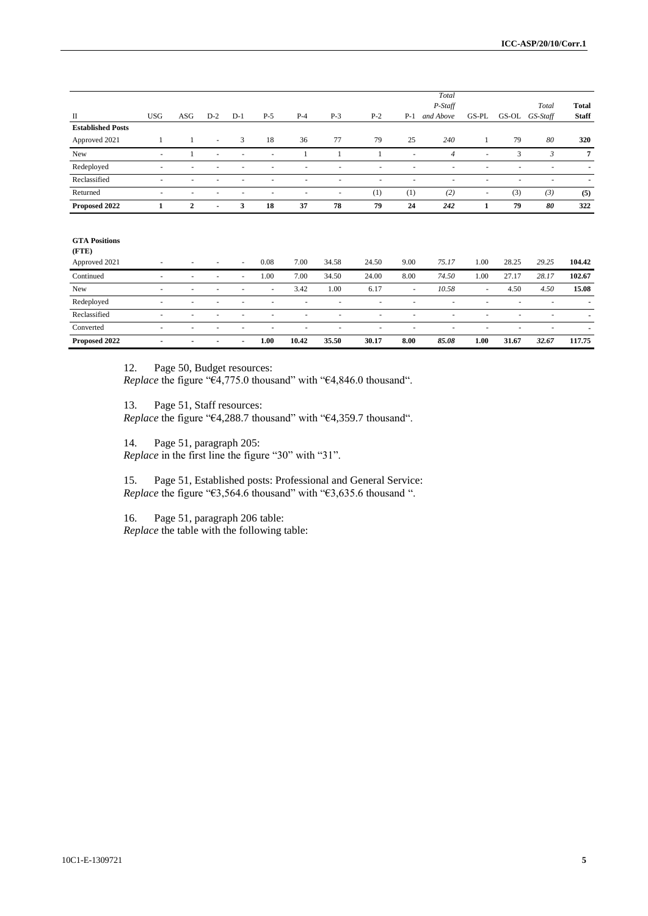|                               |                          |     |                          |                          |        |                          |                          |                          |        | Total                    |        |       |                          |                              |
|-------------------------------|--------------------------|-----|--------------------------|--------------------------|--------|--------------------------|--------------------------|--------------------------|--------|--------------------------|--------|-------|--------------------------|------------------------------|
| П                             | <b>USG</b>               | ASG | $D-2$                    | $D-1$                    | $P-5$  | $P-4$                    | $P-3$                    | $P-2$                    | $P-1$  | P-Staff<br>and Above     | GS-PL  |       | Total<br>GS-OL GS-Staff  | <b>Total</b><br><b>Staff</b> |
| <b>Established Posts</b>      |                          |     |                          |                          |        |                          |                          |                          |        |                          |        |       |                          |                              |
| Approved 2021                 |                          | 1   | $\overline{\phantom{a}}$ | 3                        | 18     | 36                       | 77                       | 79                       | 25     | 240                      | 1      | 79    | 80                       | 320                          |
| New                           | $\sim$                   | 1   | $\overline{\phantom{a}}$ | ٠                        | $\sim$ | 1                        | 1                        | 1                        | ÷.     | $\overline{4}$           | ٠      | 3     | 3                        | $\overline{7}$               |
| Redeployed                    |                          |     |                          |                          |        |                          |                          | ٠                        |        | $\overline{\phantom{a}}$ |        |       |                          |                              |
| Reclassified                  | $\blacksquare$           | ٠   | ٠                        |                          |        |                          | $\overline{\phantom{a}}$ | ٠                        | ٠      | ٠                        |        | ٠     | $\overline{a}$           | $\blacksquare$               |
| Returned                      | ٠                        | ٠   |                          |                          |        |                          | ٠                        | (1)                      | (1)    | (2)                      | ٠      | (3)   | (3)                      | (5)                          |
| Proposed 2022                 | 1                        | 2   | $\blacksquare$           | 3                        | 18     | 37                       | 78                       | 79                       | 24     | 242                      | 1      | 79    | 80                       | 322                          |
|                               |                          |     |                          |                          |        |                          |                          |                          |        |                          |        |       |                          |                              |
| <b>GTA Positions</b><br>(FTE) |                          |     |                          |                          |        |                          |                          |                          |        |                          |        |       |                          |                              |
| Approved 2021                 |                          |     |                          | ÷                        | 0.08   | 7.00                     | 34.58                    | 24.50                    | 9.00   | 75.17                    | 1.00   | 28.25 | 29.25                    | 104.42                       |
| Continued                     | $\blacksquare$           | ٠   | $\blacksquare$           | $\overline{\phantom{a}}$ | 1.00   | 7.00                     | 34.50                    | 24.00                    | 8.00   | 74.50                    | 1.00   | 27.17 | 28.17                    | 102.67                       |
| New                           | $\overline{\phantom{a}}$ | ٠   | ٠                        | ÷                        | $\sim$ | 3.42                     | 1.00                     | 6.17                     | $\sim$ | 10.58                    | $\sim$ | 4.50  | 4.50                     | 15.08                        |
| Redeployed                    | ٠                        | ٠   |                          |                          |        |                          | ٠                        | $\blacksquare$           | ٠      | ٠                        |        | ÷,    |                          |                              |
| Reclassified                  | ٠                        |     |                          |                          |        | ٠                        | ٠                        | $\overline{\phantom{a}}$ | ٠      | ٠                        |        | ۰     | $\overline{\phantom{a}}$ |                              |
| Converted                     | ٠                        | ٠   | ٠                        | ٠                        |        | $\overline{\phantom{a}}$ |                          | $\overline{\phantom{a}}$ | ٠      |                          |        | ÷,    |                          |                              |
| Proposed 2022                 |                          |     |                          | ٠                        | 1.00   | 10.42                    | 35.50                    | 30.17                    | 8.00   | 85.08                    | 1.00   | 31.67 | 32.67                    | 117.75                       |

12. Page 50, Budget resources:

*Replace* the figure "€4,775.0 thousand" with "€4,846.0 thousand".

13. Page 51, Staff resources:

*Replace* the figure "€4,288.7 thousand" with "€4,359.7 thousand".

14. Page 51, paragraph 205:

*Replace* in the first line the figure "30" with "31".

15. Page 51, Established posts: Professional and General Service: *Replace* the figure "€3,564.6 thousand" with "€3,635.6 thousand ".

16. Page 51, paragraph 206 table: *Replace* the table with the following table: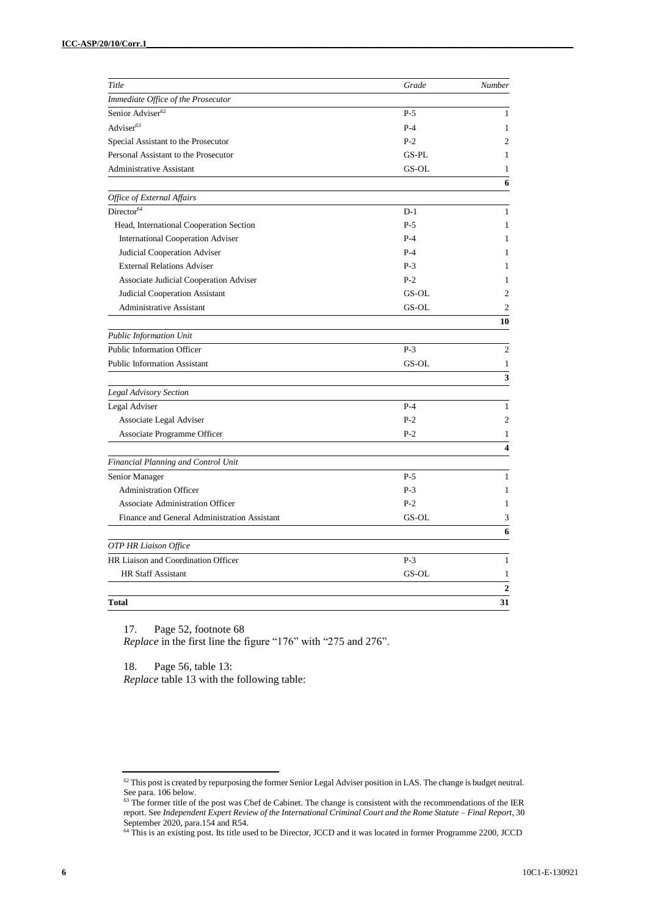| Title                                         | Grade | Number         |
|-----------------------------------------------|-------|----------------|
| Immediate Office of the Prosecutor            |       |                |
| Senior Adviser <sup>62</sup>                  | $P-5$ | 1              |
| Adviser <sup>63</sup>                         | $P-4$ | 1              |
| Special Assistant to the Prosecutor           | $P-2$ | $\overline{2}$ |
| Personal Assistant to the Prosecutor          | GS-PL | 1              |
| Administrative Assistant                      | GS-OL | 1              |
|                                               |       | 6              |
| Office of External Affairs                    |       |                |
| Director <sup>64</sup>                        | $D-1$ | 1              |
| Head, International Cooperation Section       | $P-5$ | 1              |
| <b>International Cooperation Adviser</b>      | $P-4$ | 1              |
| Judicial Cooperation Adviser                  | $P-4$ | 1              |
| <b>External Relations Adviser</b>             | $P-3$ | 1              |
| <b>Associate Judicial Cooperation Adviser</b> | $P-2$ | 1              |
| <b>Judicial Cooperation Assistant</b>         | GS-OL | $\overline{c}$ |
| <b>Administrative Assistant</b>               | GS-OL | $\overline{2}$ |
|                                               |       | 10             |
| <b>Public Information Unit</b>                |       |                |
| Public Information Officer                    | $P-3$ | $\overline{c}$ |
| <b>Public Information Assistant</b>           | GS-OL | $\mathbf{1}$   |
|                                               |       | 3              |
| <b>Legal Advisory Section</b>                 |       |                |
| Legal Adviser                                 | $P-4$ | $\mathbf{1}$   |
| Associate Legal Adviser                       | $P-2$ | $\overline{2}$ |
| Associate Programme Officer                   | $P-2$ | 1              |
|                                               |       | 4              |
| Financial Planning and Control Unit           |       |                |
| Senior Manager                                | $P-5$ | 1              |
| <b>Administration Officer</b>                 | $P-3$ | 1              |
| <b>Associate Administration Officer</b>       | $P-2$ | 1              |
| Finance and General Administration Assistant  | GS-OL | 3              |
|                                               |       | 6              |
| OTP HR Liaison Office                         |       |                |
| HR Liaison and Coordination Officer           | $P-3$ | $\mathbf{1}$   |
| <b>HR Staff Assistant</b>                     | GS-OL | 1              |
|                                               |       | $\mathbf{2}$   |
| <b>Total</b>                                  |       | 31             |

17. Page 52, footnote 68

*Replace* in the first line the figure "176" with "275 and 276".

18. Page 56, table 13: *Replace* table 13 with the following table:

 $62$  This post is created by repurposing the former Senior Legal Adviser position in LAS. The change is budget neutral. See para. 106 below.

 $63$  The former title of the post was Chef de Cabinet. The change is consistent with the recommendations of the IER report. See *Independent Expert Review of the International Criminal Court and the Rome Statute – Final Report*, 30 September 2020, para.154 and R54.

<sup>&</sup>lt;sup>64</sup> This is an existing post. Its title used to be Director, JCCD and it was located in former Programme 2200, JCCD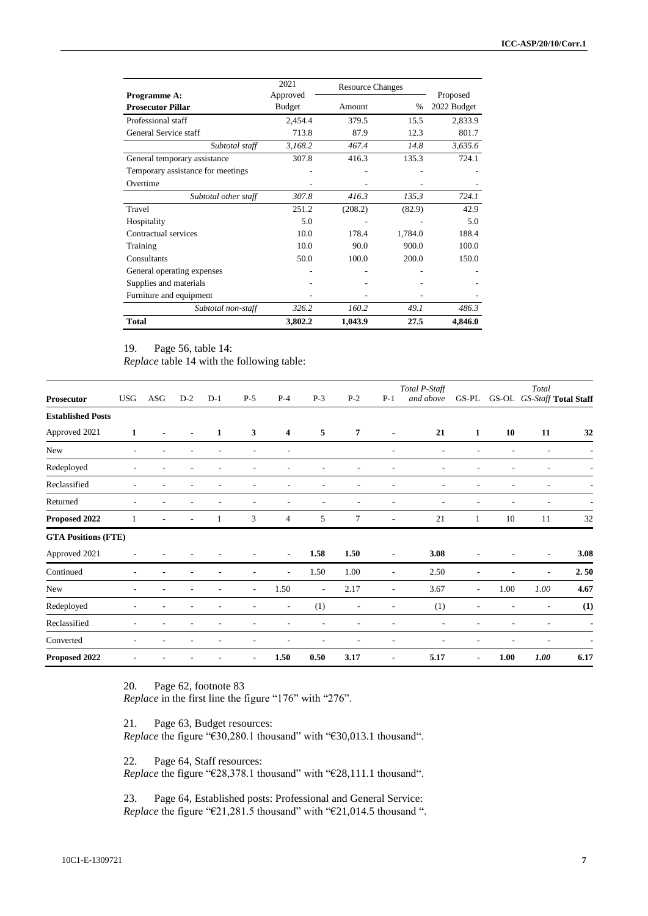|                                   | 2021          | <b>Resource Changes</b> |         |             |
|-----------------------------------|---------------|-------------------------|---------|-------------|
| Programme A:                      | Approved      |                         |         | Proposed    |
| <b>Prosecutor Pillar</b>          | <b>Budget</b> | Amount                  | %       | 2022 Budget |
| Professional staff                | 2,454.4       | 379.5                   | 15.5    | 2,833.9     |
| General Service staff             | 713.8         | 87.9                    | 12.3    | 801.7       |
| Subtotal staff                    | 3,168.2       | 467.4                   | 14.8    | 3,635.6     |
| General temporary assistance      | 307.8         | 416.3                   | 135.3   | 724.1       |
| Temporary assistance for meetings |               |                         |         |             |
| Overtime                          |               |                         |         |             |
| Subtotal other staff              | 307.8         | 416.3                   | 135.3   | 724.1       |
| Travel                            | 251.2         | (208.2)                 | (82.9)  | 42.9        |
| Hospitality                       | 5.0           |                         |         | 5.0         |
| Contractual services              | 10.0          | 178.4                   | 1,784.0 | 188.4       |
| Training                          | 10.0          | 90.0                    | 900.0   | 100.0       |
| Consultants                       | 50.0          | 100.0                   | 200.0   | 150.0       |
| General operating expenses        |               |                         |         |             |
| Supplies and materials            |               |                         |         |             |
| Furniture and equipment           |               |                         |         |             |
| Subtotal non-staff                | 326.2         | 160.2                   | 49.1    | 486.3       |
| <b>Total</b>                      | 3,802.2       | 1,043.9                 | 27.5    | 4,846.0     |

19. Page 56, table 14:

*Replace* table 14 with the following table:

| <b>Prosecutor</b>          | <b>USG</b> | ASG | $D-2$ | $D-1$ | $P-5$                    | $P-4$          | $P-3$                    | $P-2$          | $P-1$                    | Total P-Staff<br>and above | GS-PL                    |      | Total<br>GS-OL GS-Staff Total Staff |                |
|----------------------------|------------|-----|-------|-------|--------------------------|----------------|--------------------------|----------------|--------------------------|----------------------------|--------------------------|------|-------------------------------------|----------------|
| <b>Established Posts</b>   |            |     |       |       |                          |                |                          |                |                          |                            |                          |      |                                     |                |
| Approved 2021              | 1          |     |       | 1     | 3                        | 4              | 5                        | 7              | $\overline{\phantom{0}}$ | 21                         | 1                        | 10   | 11                                  | 32             |
| New                        | ٠          |     |       |       |                          | ٠              |                          |                | ٠                        | ٠                          |                          |      |                                     |                |
| Redeployed                 |            |     |       |       |                          |                |                          |                |                          |                            |                          |      |                                     |                |
| Reclassified               |            |     |       |       |                          |                |                          |                |                          |                            |                          |      |                                     |                |
| Returned                   |            |     |       |       |                          |                |                          |                | ÷                        |                            |                          |      |                                     |                |
| Proposed 2022              |            | ٠   |       |       | 3                        | 4              | 5                        | 7              | ٠                        | 21                         | 1                        | 10   | 11                                  | 32             |
| <b>GTA Positions (FTE)</b> |            |     |       |       |                          |                |                          |                |                          |                            |                          |      |                                     |                |
| Approved 2021              |            |     |       |       |                          | $\blacksquare$ | 1.58                     | 1.50           | $\blacksquare$           | 3.08                       |                          |      | $\overline{\phantom{a}}$            | 3.08           |
| Continued                  |            |     |       |       |                          | ٠              | 1.50                     | 1.00           | ÷,                       | 2.50                       |                          |      | $\overline{a}$                      | 2.50           |
| New                        | ٠          |     |       |       | $\overline{\phantom{a}}$ | 1.50           | $\overline{\phantom{a}}$ | 2.17           | ٠                        | 3.67                       | $\overline{\phantom{a}}$ | 1.00 | 1.00                                | 4.67           |
| Redeployed                 |            |     |       |       |                          |                | (1)                      | $\overline{a}$ | $\overline{a}$           | (1)                        | ٠                        |      |                                     | (1)            |
| Reclassified               | ٠          |     |       |       |                          |                |                          |                |                          | $\overline{a}$             |                          |      |                                     | $\blacksquare$ |
| Converted                  |            |     |       |       |                          |                |                          |                |                          |                            |                          |      |                                     |                |
| Proposed 2022              |            |     |       |       | $\blacksquare$           | 1.50           | 0.50                     | 3.17           | $\blacksquare$           | 5.17                       | $\blacksquare$           | 1.00 | 1.00                                | 6.17           |

20. Page 62, footnote 83

*Replace* in the first line the figure "176" with "276".

21. Page 63, Budget resources: *Replace* the figure "€30,280.1 thousand" with "€30,013.1 thousand".

22. Page 64, Staff resources:

*Replace* the figure "€28,378.1 thousand" with "€28,111.1 thousand".

23. Page 64, Established posts: Professional and General Service: *Replace* the figure "€21,281.5 thousand" with "€21,014.5 thousand ".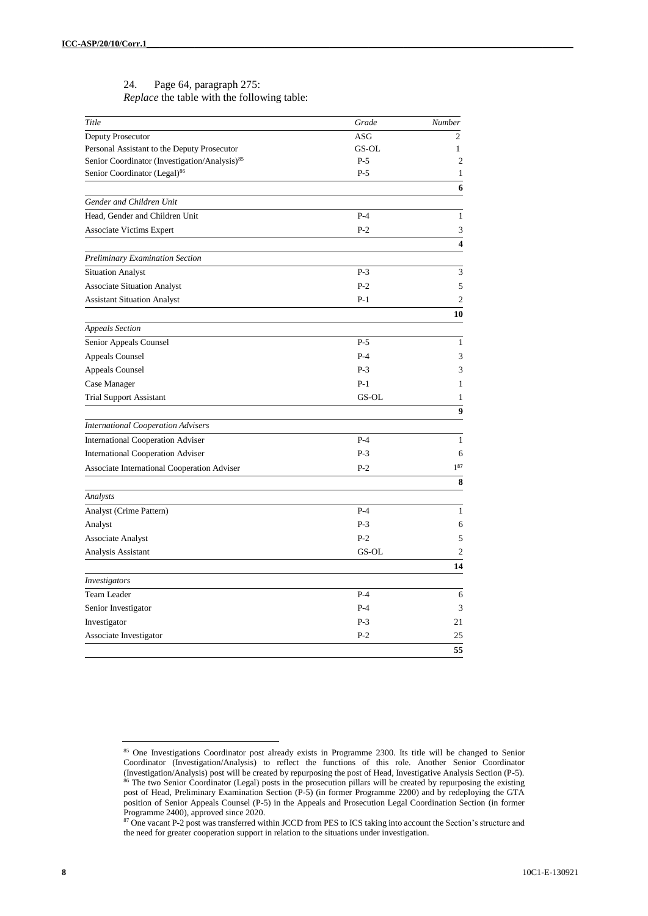#### 24. Page 64, paragraph 275: *Replace* the table with the following table:

| Title                                                     | Grade      | Number           |
|-----------------------------------------------------------|------------|------------------|
| Deputy Prosecutor                                         | <b>ASG</b> | $\overline{c}$   |
| Personal Assistant to the Deputy Prosecutor               | GS-OL      | 1                |
| Senior Coordinator (Investigation/Analysis) <sup>85</sup> | $P-5$      | $\boldsymbol{2}$ |
| Senior Coordinator (Legal) <sup>86</sup>                  | $P-5$      | $\mathbf{1}$     |
|                                                           |            | 6                |
| Gender and Children Unit                                  |            |                  |
| Head, Gender and Children Unit                            | $P-4$      | $\mathbf{1}$     |
| <b>Associate Victims Expert</b>                           | $P-2$      | 3<br>4           |
| <b>Preliminary Examination Section</b>                    |            |                  |
| <b>Situation Analyst</b>                                  | $P-3$      | 3                |
| <b>Associate Situation Analyst</b>                        | $P-2$      | 5                |
| <b>Assistant Situation Analyst</b>                        | $P-1$      | $\overline{c}$   |
|                                                           |            | 10               |
| <b>Appeals Section</b>                                    |            |                  |
| Senior Appeals Counsel                                    | $P-5$      | $\mathbf{1}$     |
| Appeals Counsel                                           | $P-4$      | 3                |
| Appeals Counsel                                           | $P-3$      | 3                |
| Case Manager                                              | $P-1$      | 1                |
| <b>Trial Support Assistant</b>                            | GS-OL      | 1                |
|                                                           |            | 9                |
| <b>International Cooperation Advisers</b>                 |            |                  |
| <b>International Cooperation Adviser</b>                  | $P-4$      | 1                |
| <b>International Cooperation Adviser</b>                  | $P-3$      | 6<br>$1^{87}$    |
| <b>Associate International Cooperation Adviser</b>        | $P-2$      | 8                |
| Analysts                                                  |            |                  |
| Analyst (Crime Pattern)                                   | $P-4$      | $\mathbf{1}$     |
| Analyst                                                   | $P-3$      | 6                |
| <b>Associate Analyst</b>                                  | $P-2$      | 5                |
| Analysis Assistant                                        | GS-OL      | $\overline{c}$   |
|                                                           |            | 14               |
| Investigators                                             |            |                  |
| Team Leader                                               | $P-4$      | 6                |
| Senior Investigator                                       | $P-4$      | 3                |
| Investigator                                              | $P-3$      | 21               |
| Associate Investigator                                    | $P-2$      | 25               |
|                                                           |            | 55               |

<sup>&</sup>lt;sup>85</sup> One Investigations Coordinator post already exists in Programme 2300. Its title will be changed to Senior Coordinator (Investigation/Analysis) to reflect the functions of this role. Another Senior Coordinator (Investigation/Analysis) post will be created by repurposing the post of Head, Investigative Analysis Section (P-5). <sup>86</sup> The two Senior Coordinator (Legal) posts in the prosecution pillars will be created by repurposing the existing post of Head, Preliminary Examination Section (P-5) (in former Programme 2200) and by redeploying the GTA position of Senior Appeals Counsel (P-5) in the Appeals and Prosecution Legal Coordination Section (in former Programme 2400), approved since 2020.

<sup>87</sup> One vacant P-2 post was transferred within JCCD from PES to ICS taking into account the Section's structure and the need for greater cooperation support in relation to the situations under investigation.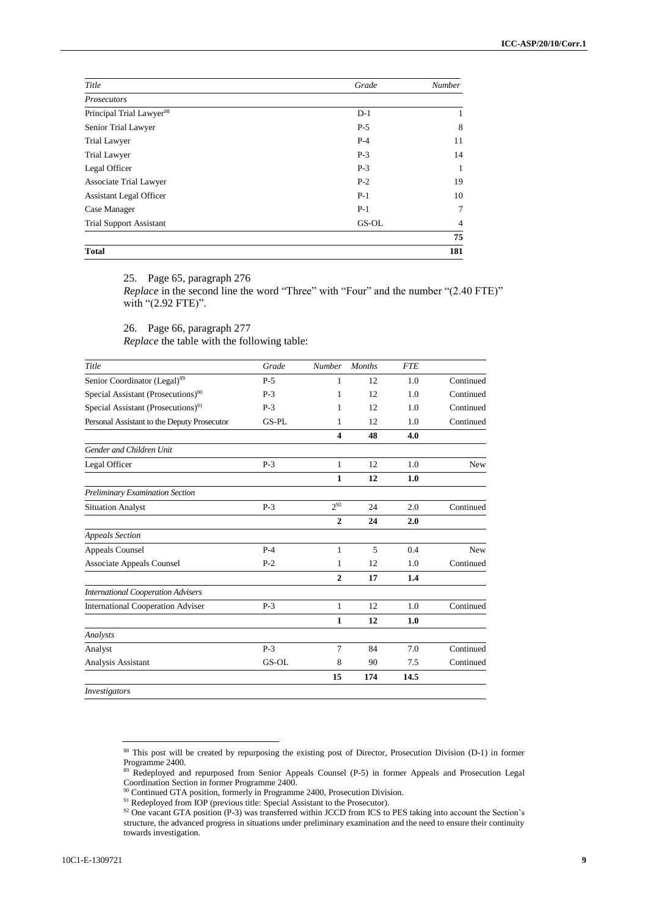| Title                                | Grade | <b>Number</b> |
|--------------------------------------|-------|---------------|
| <b>Prosecutors</b>                   |       |               |
| Principal Trial Lawyer <sup>88</sup> | $D-1$ | 1             |
| Senior Trial Lawyer                  | $P-5$ | 8             |
| <b>Trial Lawyer</b>                  | $P-4$ | 11            |
| <b>Trial Lawyer</b>                  | $P-3$ | 14            |
| Legal Officer                        | $P-3$ | 1             |
| Associate Trial Lawyer               | $P-2$ | 19            |
| <b>Assistant Legal Officer</b>       | $P-1$ | 10            |
| Case Manager                         | $P-1$ | 7             |
| <b>Trial Support Assistant</b>       | GS-OL | 4             |
|                                      |       | 75            |
| <b>Total</b>                         |       | 181           |

25. Page 65, paragraph 276

*Replace* in the second line the word "Three" with "Four" and the number "(2.40 FTE)" with "(2.92 FTE)".

26. Page 66, paragraph 277 *Replace* the table with the following table:

| Title                                          | Grade | <b>Number</b>  | <b>Months</b> | <b>FTE</b> |           |
|------------------------------------------------|-------|----------------|---------------|------------|-----------|
| Senior Coordinator (Legal) <sup>89</sup>       | $P-5$ | 1              | 12            | 1.0        | Continued |
| Special Assistant (Prosecutions) <sup>90</sup> | $P-3$ | 1              | 12            | 1.0        | Continued |
| Special Assistant (Prosecutions) <sup>91</sup> | $P-3$ | 1              | 12            | 1.0        | Continued |
| Personal Assistant to the Deputy Prosecutor    | GS-PL | 1              | 12            | 1.0        | Continued |
|                                                |       | 4              | 48            | 4.0        |           |
| Gender and Children Unit                       |       |                |               |            |           |
| Legal Officer                                  | $P-3$ | $\mathbf{1}$   | 12            | 1.0        | New       |
|                                                |       | 1              | 12            | 1.0        |           |
| Preliminary Examination Section                |       |                |               |            |           |
| <b>Situation Analyst</b>                       | $P-3$ | $2^{92}$       | 24            | 2.0        | Continued |
|                                                |       | $\overline{2}$ | 24            | 2.0        |           |
| <b>Appeals Section</b>                         |       |                |               |            |           |
| <b>Appeals Counsel</b>                         | $P-4$ | $\mathbf{1}$   | 5             | 0.4        | New       |
| <b>Associate Appeals Counsel</b>               | $P-2$ | 1              | 12            | 1.0        | Continued |
|                                                |       | $\overline{2}$ | 17            | 1.4        |           |
| <b>International Cooperation Advisers</b>      |       |                |               |            |           |
| <b>International Cooperation Adviser</b>       | $P-3$ | 1              | 12            | 1.0        | Continued |
|                                                |       | 1              | 12            | 1.0        |           |
| Analysts                                       |       |                |               |            |           |
| Analyst                                        | $P-3$ | 7              | 84            | 7.0        | Continued |
| Analysis Assistant                             | GS-OL | 8              | 90            | 7.5        | Continued |
|                                                |       | 15             | 174           | 14.5       |           |
| <i>Investigators</i>                           |       |                |               |            |           |

*Investigators*

<sup>88</sup> This post will be created by repurposing the existing post of Director, Prosecution Division (D-1) in former Programme 2400.

<sup>&</sup>lt;sup>89</sup> Redeployed and repurposed from Senior Appeals Counsel (P-5) in former Appeals and Prosecution Legal Coordination Section in former Programme 2400.

<sup>&</sup>lt;sup>90</sup> Continued GTA position, formerly in Programme 2400, Prosecution Division.

<sup>&</sup>lt;sup>91</sup> Redeployed from IOP (previous title: Special Assistant to the Prosecutor).

<sup>92</sup> One vacant GTA position (P-3) was transferred within JCCD from ICS to PES taking into account the Section's structure, the advanced progress in situations under preliminary examination and the need to ensure their continuity towards investigation.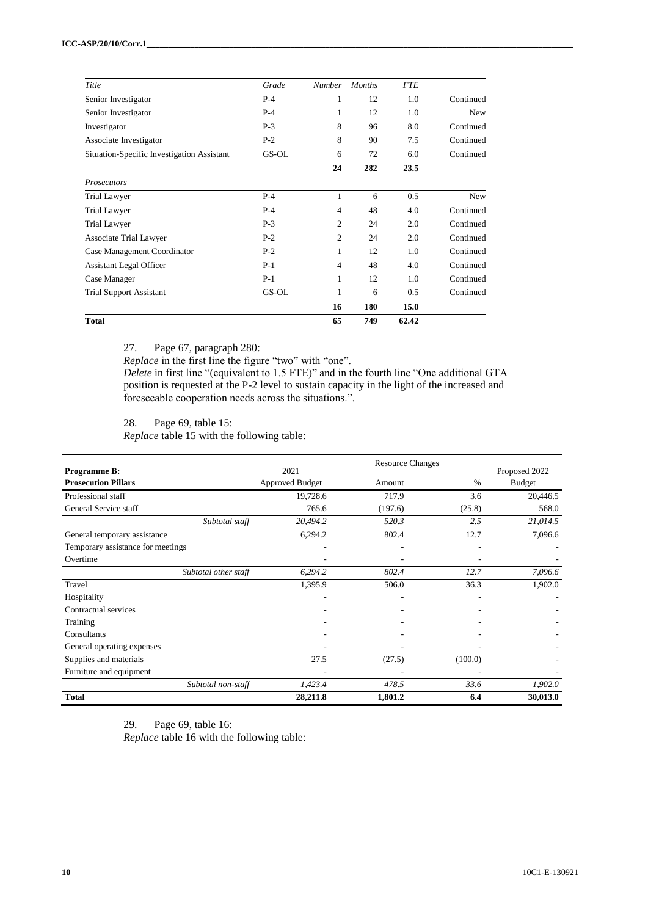| Title                                      | Grade | <b>Number</b> | <b>Months</b> | <b>FTE</b> |            |
|--------------------------------------------|-------|---------------|---------------|------------|------------|
| Senior Investigator                        | $P-4$ | 1             | 12            | 1.0        | Continued  |
| Senior Investigator                        | $P-4$ | 1             | 12            | 1.0        | New        |
| Investigator                               | $P-3$ | 8             | 96            | 8.0        | Continued  |
| Associate Investigator                     | $P-2$ | 8             | 90            | 7.5        | Continued  |
| Situation-Specific Investigation Assistant | GS-OL | 6             | 72            | 6.0        | Continued  |
|                                            |       | 24            | 282           | 23.5       |            |
| <b>Prosecutors</b>                         |       |               |               |            |            |
| Trial Lawyer                               | $P-4$ | 1             | 6             | 0.5        | <b>New</b> |
| Trial Lawyer                               | $P-4$ | 4             | 48            | 4.0        | Continued  |
| <b>Trial Lawyer</b>                        | $P-3$ | 2             | 24            | 2.0        | Continued  |
| Associate Trial Lawyer                     | $P-2$ | 2             | 24            | 2.0        | Continued  |
| Case Management Coordinator                | $P-2$ | 1             | 12            | 1.0        | Continued  |
| <b>Assistant Legal Officer</b>             | $P-1$ | 4             | 48            | 4.0        | Continued  |
| Case Manager                               | $P-1$ | 1             | 12            | 1.0        | Continued  |
| <b>Trial Support Assistant</b>             | GS-OL | 1             | 6             | 0.5        | Continued  |
|                                            |       | 16            | 180           | 15.0       |            |
| <b>Total</b>                               |       | 65            | 749           | 62.42      |            |

27. Page 67, paragraph 280:

*Replace* in the first line the figure "two" with "one".

*Delete* in first line "(equivalent to 1.5 FTE)" and in the fourth line "One additional GTA position is requested at the P-2 level to sustain capacity in the light of the increased and foreseeable cooperation needs across the situations.".

28. Page 69, table 15:

*Replace* table 15 with the following table:

|                                   |                      |                        | <b>Resource Changes</b> |         |               |
|-----------------------------------|----------------------|------------------------|-------------------------|---------|---------------|
| <b>Programme B:</b>               |                      | 2021                   |                         |         | Proposed 2022 |
| <b>Prosecution Pillars</b>        |                      | <b>Approved Budget</b> | Amount                  | %       | <b>Budget</b> |
| Professional staff                |                      | 19,728.6               | 717.9                   | 3.6     | 20,446.5      |
| General Service staff             |                      | 765.6                  | (197.6)                 | (25.8)  | 568.0         |
|                                   | Subtotal staff       | 20,494.2               | 520.3                   | 2.5     | 21,014.5      |
| General temporary assistance      |                      | 6,294.2                | 802.4                   | 12.7    | 7,096.6       |
| Temporary assistance for meetings |                      |                        |                         |         |               |
| Overtime                          |                      |                        |                         |         |               |
|                                   | Subtotal other staff | 6,294.2                | 802.4                   | 12.7    | 7,096.6       |
| Travel                            |                      | 1,395.9                | 506.0                   | 36.3    | 1,902.0       |
| Hospitality                       |                      |                        |                         |         |               |
| Contractual services              |                      |                        |                         |         |               |
| Training                          |                      |                        |                         |         |               |
| Consultants                       |                      |                        |                         |         |               |
| General operating expenses        |                      |                        |                         |         |               |
| Supplies and materials            |                      | 27.5                   | (27.5)                  | (100.0) |               |
| Furniture and equipment           |                      |                        |                         |         |               |
|                                   | Subtotal non-staff   | 1,423.4                | 478.5                   | 33.6    | 1,902.0       |
| <b>Total</b>                      |                      | 28,211.8               | 1,801.2                 | 6.4     | 30,013.0      |

29. Page 69, table 16: *Replace* table 16 with the following table: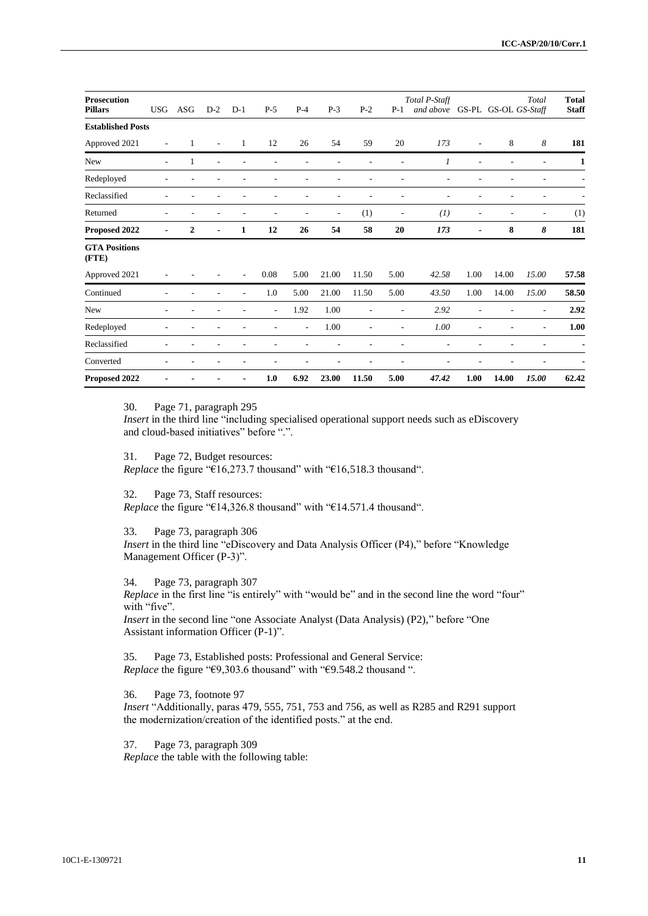| <b>Prosecution</b>            |                |              |       |       |                          |                |                          |       |                | Total P-Staff |                          |                          | Total                | <b>Total</b> |
|-------------------------------|----------------|--------------|-------|-------|--------------------------|----------------|--------------------------|-------|----------------|---------------|--------------------------|--------------------------|----------------------|--------------|
| <b>Pillars</b>                | <b>USG</b>     | ASG          | $D-2$ | $D-1$ | $P-5$                    | $P-4$          | $P-3$                    | $P-2$ | $P-1$          | and above     |                          |                          | GS-PL GS-OL GS-Staff | <b>Staff</b> |
| <b>Established Posts</b>      |                |              |       |       |                          |                |                          |       |                |               |                          |                          |                      |              |
| Approved 2021                 | ٠              | 1            | ÷,    | 1     | 12                       | 26             | 54                       | 59    | 20             | 173           | $\overline{\phantom{a}}$ | 8                        | 8                    | 181          |
| New                           | $\overline{a}$ | 1            |       |       |                          |                |                          |       |                | 1             | ٠                        | $\overline{a}$           |                      | 1            |
| Redeployed                    |                |              |       |       |                          |                |                          |       |                |               |                          |                          |                      |              |
| Reclassified                  |                |              |       |       |                          |                |                          |       |                |               |                          |                          |                      |              |
| Returned                      | ٠              |              |       |       |                          |                | $\overline{\phantom{a}}$ | (1)   | $\overline{a}$ | (1)           | ٠                        | $\overline{\phantom{a}}$ | ٠                    | (1)          |
| Proposed 2022                 |                | $\mathbf{2}$ |       | 1     | 12                       | 26             | 54                       | 58    | 20             | 173           | ٠                        | 8                        | 8                    | 181          |
| <b>GTA Positions</b><br>(FTE) |                |              |       |       |                          |                |                          |       |                |               |                          |                          |                      |              |
| Approved 2021                 |                |              |       |       | 0.08                     | 5.00           | 21.00                    | 11.50 | 5.00           | 42.58         | 1.00                     | 14.00                    | 15.00                | 57.58        |
| Continued                     |                |              |       |       | 1.0                      | 5.00           | 21.00                    | 11.50 | 5.00           | 43.50         | 1.00                     | 14.00                    | 15.00                | 58.50        |
| New                           |                |              |       |       | $\overline{\phantom{a}}$ | 1.92           | 1.00                     |       |                | 2.92          |                          |                          |                      | 2.92         |
| Redeployed                    |                |              |       |       |                          | $\overline{a}$ | 1.00                     |       | $\overline{a}$ | 1.00          |                          |                          | $\overline{a}$       | 1.00         |
| Reclassified                  |                |              |       |       |                          |                |                          |       |                |               |                          |                          |                      |              |
| Converted                     |                |              |       |       |                          |                |                          |       |                |               |                          |                          |                      |              |
| Proposed 2022                 |                |              |       |       | 1.0                      | 6.92           | 23.00                    | 11.50 | 5.00           | 47.42         | 1.00                     | 14.00                    | 15.00                | 62.42        |

30. Page 71, paragraph 295

*Insert* in the third line "including specialised operational support needs such as eDiscovery and cloud-based initiatives" before ".".

31. Page 72, Budget resources: *Replace* the figure "€16,273.7 thousand" with "€16,518.3 thousand".

32. Page 73, Staff resources: *Replace* the figure "€14,326.8 thousand" with "€14.571.4 thousand".

33. Page 73, paragraph 306 *Insert* in the third line "eDiscovery and Data Analysis Officer (P4)," before "Knowledge Management Officer (P-3)".

34. Page 73, paragraph 307

*Replace* in the first line "is entirely" with "would be" and in the second line the word "four" with "five".

*Insert* in the second line "one Associate Analyst (Data Analysis) (P2)," before "One Assistant information Officer (P-1)".

35. Page 73, Established posts: Professional and General Service: *Replace* the figure "€9,303.6 thousand" with "€9.548.2 thousand ".

36. Page 73, footnote 97 *Insert* "Additionally, paras 479, 555, 751, 753 and 756, as well as R285 and R291 support the modernization/creation of the identified posts." at the end.

37. Page 73, paragraph 309 *Replace* the table with the following table: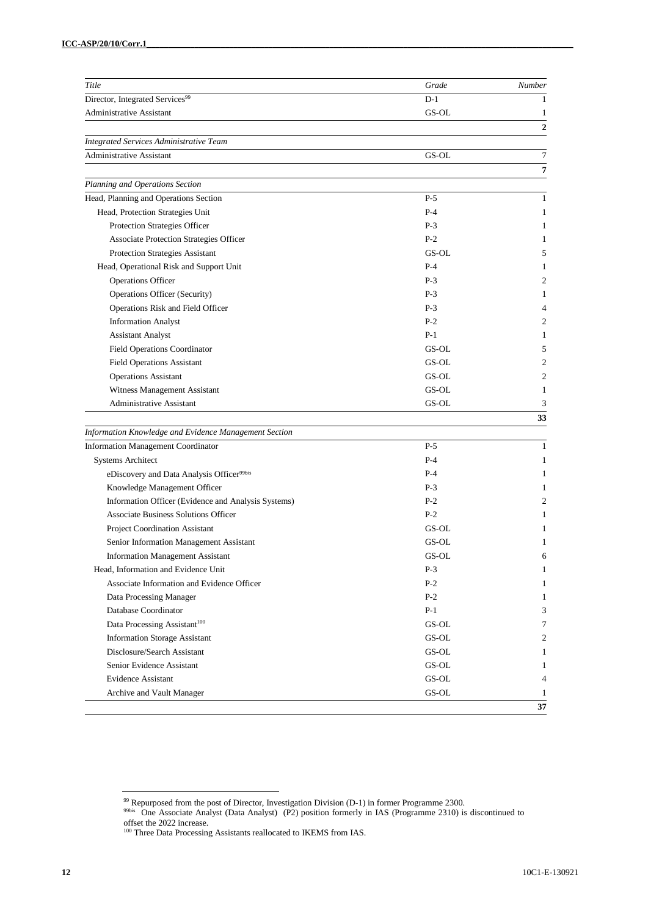| Title                                                 | Grade                  | Number           |
|-------------------------------------------------------|------------------------|------------------|
| Director, Integrated Services <sup>99</sup>           | $D-1$                  | 1                |
| <b>Administrative Assistant</b>                       | GS-OL                  | 1                |
|                                                       |                        | $\boldsymbol{2}$ |
| <b>Integrated Services Administrative Team</b>        |                        |                  |
| <b>Administrative Assistant</b>                       | GS-OL                  | $\tau$           |
|                                                       |                        | 7                |
| Planning and Operations Section                       |                        |                  |
| Head, Planning and Operations Section                 | $P-5$                  | 1                |
| Head, Protection Strategies Unit                      | $P-4$                  | 1                |
| Protection Strategies Officer                         | $P-3$                  | 1                |
| Associate Protection Strategies Officer               | $P-2$                  | 1                |
| Protection Strategies Assistant                       | GS-OL                  | 5                |
| Head, Operational Risk and Support Unit               | $P-4$                  | 1                |
| <b>Operations Officer</b>                             | $P-3$                  | 2                |
| <b>Operations Officer (Security)</b>                  | $P-3$                  | 1                |
| Operations Risk and Field Officer                     | $P-3$                  | $\overline{4}$   |
| <b>Information Analyst</b>                            | $P-2$                  | 2                |
| <b>Assistant Analyst</b>                              | $P-1$                  | 1                |
| Field Operations Coordinator                          | GS-OL                  | 5                |
| <b>Field Operations Assistant</b>                     | GS-OL                  | 2                |
| <b>Operations Assistant</b>                           | GS-OL                  | 2                |
| Witness Management Assistant                          | GS-OL                  | $\mathbf{1}$     |
| Administrative Assistant                              | GS-OL                  | 3                |
|                                                       |                        | 33               |
| Information Knowledge and Evidence Management Section |                        |                  |
| <b>Information Management Coordinator</b>             | $P-5$                  | 1                |
| <b>Systems Architect</b>                              | $P-4$                  | 1                |
| eDiscovery and Data Analysis Officer <sup>99bis</sup> | $P-4$                  | 1                |
| Knowledge Management Officer                          | $P-3$                  | 1                |
| Information Officer (Evidence and Analysis Systems)   | $P-2$                  | 2                |
| <b>Associate Business Solutions Officer</b>           | $P-2$                  | 1                |
| Project Coordination Assistant                        | GS-OL                  | 1                |
| Senior Information Management Assistant               | GS-OL                  | 1                |
| <b>Information Management Assistant</b>               | GS-OL                  | 6                |
| Head, Information and Evidence Unit                   | $P-3$                  | 1                |
| Associate Information and Evidence Officer            | $P-2$                  | 1                |
| Data Processing Manager                               | $P-2$                  | 1                |
| Database Coordinator                                  | $P-1$                  | 3                |
| Data Processing Assistant <sup>100</sup>              | GS-OL                  | 7                |
| <b>Information Storage Assistant</b>                  | GS-OL                  | 2                |
| Disclosure/Search Assistant                           | GS-OL                  | 1                |
| Senior Evidence Assistant                             | GS-OL                  | 1                |
| <b>Evidence Assistant</b>                             | $\operatorname{GS-OL}$ | 4                |
| Archive and Vault Manager                             | GS-OL                  | 1                |
|                                                       |                        | 37               |

<sup>&</sup>lt;sup>99</sup> Repurposed from the post of Director, Investigation Division (D-1) in former Programme 2300.<br><sup>99bis</sup> One Associate Analyst (Data Analyst) (P2) position formerly in IAS (Programme 2310) is discontinued to offset the 2022 increase.

<sup>&</sup>lt;sup>100</sup> Three Data Processing Assistants reallocated to IKEMS from IAS.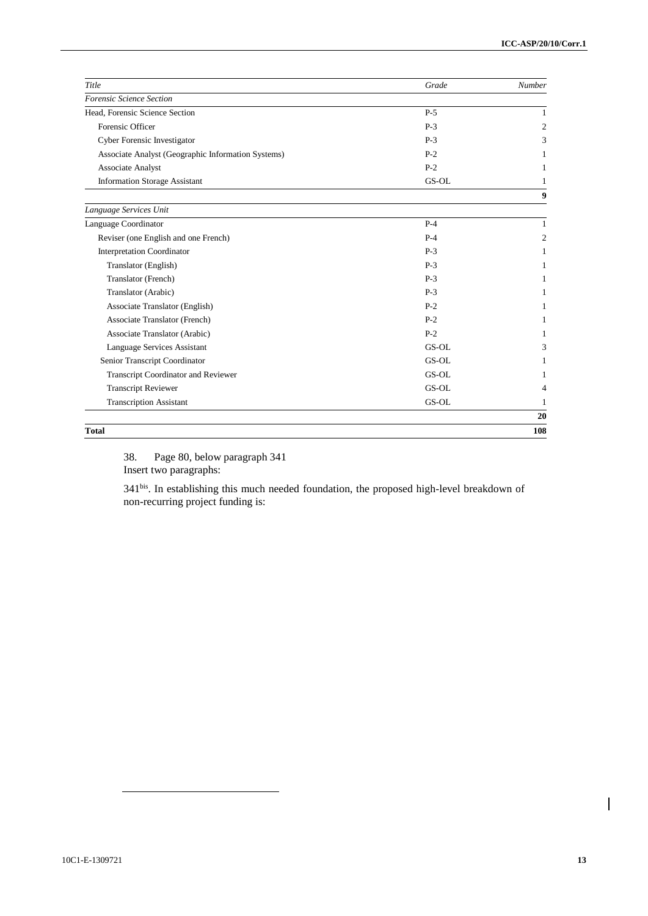| Title                                              | Grade | Number         |
|----------------------------------------------------|-------|----------------|
| Forensic Science Section                           |       |                |
| Head, Forensic Science Section                     | $P-5$ | $\mathbf{1}$   |
| Forensic Officer                                   | $P-3$ | 2              |
| Cyber Forensic Investigator                        | $P-3$ | 3              |
| Associate Analyst (Geographic Information Systems) | $P-2$ | 1              |
| <b>Associate Analyst</b>                           | $P-2$ | 1              |
| <b>Information Storage Assistant</b>               | GS-OL | 1              |
|                                                    |       | 9              |
| Language Services Unit                             |       |                |
| Language Coordinator                               | $P-4$ | $\mathbf{1}$   |
| Reviser (one English and one French)               | $P-4$ | 2              |
| <b>Interpretation Coordinator</b>                  | $P-3$ | $\mathbf{1}$   |
| Translator (English)                               | $P-3$ | 1              |
| Translator (French)                                | $P-3$ | 1              |
| Translator (Arabic)                                | $P-3$ | 1              |
| Associate Translator (English)                     | $P-2$ | 1              |
| <b>Associate Translator (French)</b>               | $P-2$ | 1              |
| Associate Translator (Arabic)                      | $P-2$ | 1              |
| Language Services Assistant                        | GS-OL | 3              |
| Senior Transcript Coordinator                      | GS-OL | 1              |
| <b>Transcript Coordinator and Reviewer</b>         | GS-OL | 1              |
| <b>Transcript Reviewer</b>                         | GS-OL | $\overline{4}$ |
| <b>Transcription Assistant</b>                     | GS-OL | 1              |
|                                                    |       | 20             |
| <b>Total</b>                                       |       | 108            |

38. Page 80, below paragraph 341 Insert two paragraphs:

341bis. In establishing this much needed foundation, the proposed high-level breakdown of non-recurring project funding is:

 $\overline{\phantom{a}}$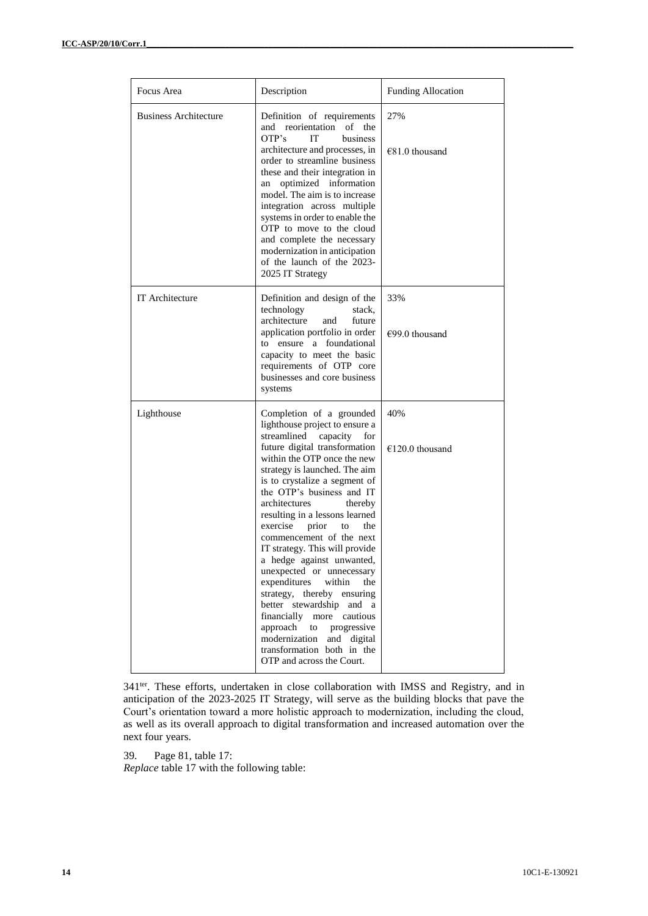| Focus Area                   | Description                                                                                                                                                                                                                                                                                                                                                                                                                                                                                                                                                                                                                                                                                                                          | <b>Funding Allocation</b> |
|------------------------------|--------------------------------------------------------------------------------------------------------------------------------------------------------------------------------------------------------------------------------------------------------------------------------------------------------------------------------------------------------------------------------------------------------------------------------------------------------------------------------------------------------------------------------------------------------------------------------------------------------------------------------------------------------------------------------------------------------------------------------------|---------------------------|
| <b>Business Architecture</b> | Definition of requirements<br>and reorientation of the<br>OTP's<br>business<br>IT<br>architecture and processes, in<br>order to streamline business<br>these and their integration in<br>optimized information<br>an<br>model. The aim is to increase<br>integration across multiple<br>systems in order to enable the<br>OTP to move to the cloud<br>and complete the necessary<br>modernization in anticipation<br>of the launch of the 2023-<br>2025 IT Strategy                                                                                                                                                                                                                                                                  | 27%<br>$€81.0$ thousand   |
| IT Architecture              | Definition and design of the<br>technology<br>stack,<br>architecture<br>future<br>and<br>application portfolio in order<br>to ensure a foundational<br>capacity to meet the basic<br>requirements of OTP core<br>businesses and core business<br>systems                                                                                                                                                                                                                                                                                                                                                                                                                                                                             | 33%<br>$€99.0$ thousand   |
| Lighthouse                   | Completion of a grounded<br>lighthouse project to ensure a<br>streamlined<br>capacity<br>for<br>future digital transformation<br>within the OTP once the new<br>strategy is launched. The aim<br>is to crystalize a segment of<br>the OTP's business and IT<br>architectures<br>thereby<br>resulting in a lessons learned<br>exercise<br>prior<br>the<br>to<br>commencement of the next<br>IT strategy. This will provide<br>a hedge against unwanted,<br>unexpected or unnecessary<br>expenditures<br>within<br>the<br>strategy, thereby ensuring<br>better stewardship and a<br>financially more cautious<br>approach<br>to<br>progressive<br>modernization and digital<br>transformation both in the<br>OTP and across the Court. | 40%<br>$€120.0$ thousand  |

341<sup>ter</sup>. These efforts, undertaken in close collaboration with IMSS and Registry, and in anticipation of the 2023-2025 IT Strategy, will serve as the building blocks that pave the Court's orientation toward a more holistic approach to modernization, including the cloud, as well as its overall approach to digital transformation and increased automation over the next four years.

39. Page 81, table 17:

*Replace* table 17 with the following table: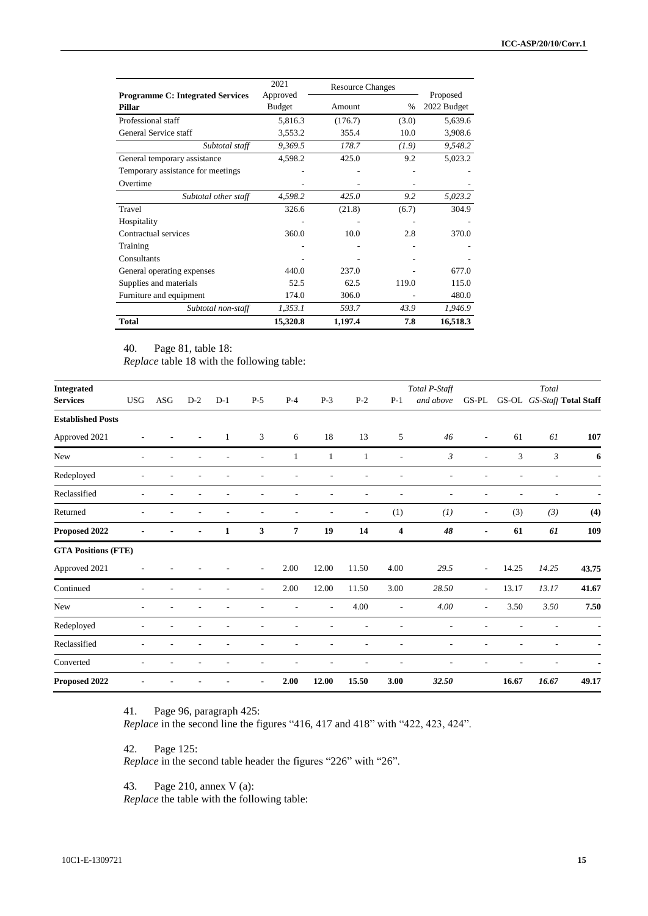| <b>Programme C: Integrated Services</b> | 2021<br>Approved | <b>Resource Changes</b> |       | Proposed    |
|-----------------------------------------|------------------|-------------------------|-------|-------------|
| Pillar                                  | <b>Budget</b>    | Amount                  | $\%$  | 2022 Budget |
| Professional staff                      | 5,816.3          | (176.7)                 | (3.0) | 5,639.6     |
| General Service staff                   | 3,553.2          | 355.4                   | 10.0  | 3,908.6     |
| Subtotal staff                          | 9,369.5          | 178.7                   | (1.9) | 9,548.2     |
| General temporary assistance            | 4,598.2          | 425.0                   | 9.2   | 5,023.2     |
| Temporary assistance for meetings       |                  |                         |       |             |
| Overtime                                |                  |                         |       |             |
| Subtotal other staff                    | 4,598.2          | 425.0                   | 9.2   | 5,023.2     |
| Travel                                  | 326.6            | (21.8)                  | (6.7) | 304.9       |
| Hospitality                             |                  |                         |       |             |
| Contractual services                    | 360.0            | 10.0                    | 2.8   | 370.0       |
| Training                                |                  |                         |       |             |
| Consultants                             |                  |                         |       |             |
| General operating expenses              | 440.0            | 237.0                   |       | 677.0       |
| Supplies and materials                  | 52.5             | 62.5                    | 119.0 | 115.0       |
| Furniture and equipment                 | 174.0            | 306.0                   |       | 480.0       |
| Subtotal non-staff                      | 1,353.1          | 593.7                   | 43.9  | 1,946.9     |
| <b>Total</b>                            | 15,320.8         | 1,197.4                 | 7.8   | 16,518.3    |

40. Page 81, table 18:

*Replace* table 18 with the following table:

| <b>Integrated</b>          |            |     |       |              |                |                |       |                          |                          | Total P-Staff            |                          |       | Total                      |       |
|----------------------------|------------|-----|-------|--------------|----------------|----------------|-------|--------------------------|--------------------------|--------------------------|--------------------------|-------|----------------------------|-------|
| <b>Services</b>            | <b>USG</b> | ASG | $D-2$ | $D-1$        | $P-5$          | $P-4$          | $P-3$ | $P-2$                    | $P-1$                    | and above                | GS-PL                    |       | GS-OL GS-Staff Total Staff |       |
| <b>Established Posts</b>   |            |     |       |              |                |                |       |                          |                          |                          |                          |       |                            |       |
| Approved 2021              |            |     |       | $\mathbf{1}$ | 3              | 6              | 18    | 13                       | 5                        | 46                       | $\overline{\phantom{a}}$ | 61    | 61                         | 107   |
| New                        | ٠          |     |       |              | L.             | 1              | 1     | 1                        | ÷,                       | $\mathfrak{Z}$           | ٠                        | 3     | $\mathfrak{Z}$             | 6     |
| Redeployed                 | ٠          |     |       |              |                |                |       |                          |                          | $\overline{\phantom{a}}$ |                          |       |                            |       |
| Reclassified               |            |     |       |              |                |                |       |                          |                          | ٠                        |                          |       |                            |       |
| Returned                   | ٠          |     |       |              |                |                |       | $\overline{\phantom{a}}$ | (1)                      | (1)                      | $\overline{\phantom{a}}$ | (3)   | (3)                        | (4)   |
| Proposed 2022              |            |     |       | $\mathbf{1}$ | 3              | $\overline{7}$ | 19    | 14                       | 4                        | 48                       |                          | 61    | 61                         | 109   |
| <b>GTA Positions (FTE)</b> |            |     |       |              |                |                |       |                          |                          |                          |                          |       |                            |       |
| Approved 2021              |            |     |       |              | ٠              | 2.00           | 12.00 | 11.50                    | 4.00                     | 29.5                     | $\overline{\phantom{a}}$ | 14.25 | 14.25                      | 43.75 |
| Continued                  | ٠          |     |       |              | ٠              | 2.00           | 12.00 | 11.50                    | 3.00                     | 28.50                    | $\overline{\phantom{a}}$ | 13.17 | 13.17                      | 41.67 |
| New                        | ÷          |     |       |              |                |                |       | 4.00                     | $\overline{\phantom{a}}$ | 4.00                     | ٠                        | 3.50  | 3.50                       | 7.50  |
| Redeployed                 |            |     |       |              |                |                |       |                          |                          |                          |                          |       |                            |       |
| Reclassified               |            |     |       |              |                |                |       |                          |                          |                          |                          |       |                            |       |
| Converted                  |            |     |       |              |                |                |       |                          |                          |                          |                          |       |                            |       |
| Proposed 2022              |            |     |       |              | $\blacksquare$ | 2.00           | 12.00 | 15.50                    | 3.00                     | 32.50                    |                          | 16.67 | 16.67                      | 49.17 |

41. Page 96, paragraph 425:

*Replace* in the second line the figures "416, 417 and 418" with "422, 423, 424".

42. Page 125:

*Replace* in the second table header the figures "226" with "26".

43. Page 210, annex V (a):

*Replace* the table with the following table: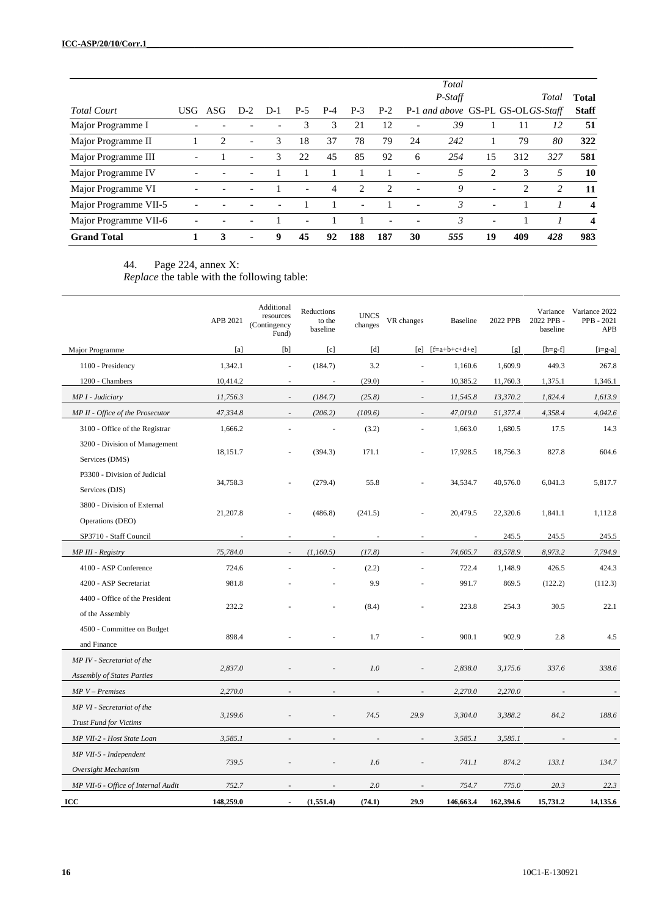|                       |      |     |                          |       |     |       |                          |                |    | Total                             |                          |                |       |                         |
|-----------------------|------|-----|--------------------------|-------|-----|-------|--------------------------|----------------|----|-----------------------------------|--------------------------|----------------|-------|-------------------------|
|                       |      |     |                          |       |     |       |                          |                |    | $P-Statf$                         |                          |                | Total | <b>Total</b>            |
| <b>Total Court</b>    | USG. | ASG | $D-2$                    | $D-1$ | P-5 | $P-4$ | $P-3$                    | $P-2$          |    | P-1 and above GS-PL GS-OLGS-Staff |                          |                |       | <b>Staff</b>            |
| Major Programme I     |      |     |                          |       | 3   | 3     | 21                       | 12             |    | 39                                |                          | 11             | 12    | 51                      |
| Major Programme II    |      | 2   | ٠                        | 3     | 18  | 37    | 78                       | 79             | 24 | 242                               |                          | 79             | 80    | 322                     |
| Major Programme III   |      |     | $\overline{\phantom{0}}$ | 3     | 22  | 45    | 85                       | 92             | 6  | 254                               | 15                       | 312            | 327   | 581                     |
| Major Programme IV    |      |     |                          |       |     |       |                          |                |    | 5                                 | $\mathcal{L}$            | 3              | 5     | 10                      |
| Major Programme VI    |      |     |                          |       | ٠   | 4     | $\overline{c}$           | $\overline{c}$ |    | 9                                 | $\overline{\phantom{0}}$ | $\overline{c}$ | 2     | 11                      |
| Major Programme VII-5 |      |     |                          |       |     |       | $\overline{\phantom{0}}$ |                |    | $\mathfrak{Z}$                    | ۰                        |                |       | $\overline{\mathbf{4}}$ |
| Major Programme VII-6 |      |     |                          |       |     |       |                          |                |    | 3                                 | $\overline{\phantom{0}}$ |                |       | $\boldsymbol{4}$        |
| <b>Grand Total</b>    |      | 3   | ۰.                       | 9     | 45  | 92    | 188                      | 187            | 30 | 555                               | 19                       | 409            | 428   | 983                     |

#### 44. Page 224, annex X:

*Replace* the table with the following table:

|                                                                 | APB 2021  | Additional<br>resources<br>(Contingency<br>Fund) | Reductions<br>to the<br>baseline | <b>UNCS</b><br>changes | VR changes               | <b>Baseline</b>       | 2022 PPB  | 2022 PPB -<br>baseline | Variance Variance 2022<br>PPB - 2021<br>APB |
|-----------------------------------------------------------------|-----------|--------------------------------------------------|----------------------------------|------------------------|--------------------------|-----------------------|-----------|------------------------|---------------------------------------------|
| Major Programme                                                 | [a]       | [b]                                              | $\lceil c \rceil$                | [d]                    |                          | $[e]$ $[f=a+b+c+d+e]$ | [g]       | $[h=g-f]$              | $[i= g-a]$                                  |
| 1100 - Presidency                                               | 1,342.1   | $\overline{\phantom{a}}$                         | (184.7)                          | 3.2                    | L.                       | 1,160.6               | 1,609.9   | 449.3                  | 267.8                                       |
| 1200 - Chambers                                                 | 10,414.2  | L.                                               | $\sim$                           | (29.0)                 | ÷,                       | 10,385.2              | 11,760.3  | 1,375.1                | 1,346.1                                     |
| MP I - Judiciary                                                | 11,756.3  | $\overline{\phantom{a}}$                         | (184.7)                          | (25.8)                 | $\overline{\phantom{a}}$ | 11,545.8              | 13,370.2  | 1,824.4                | 1,613.9                                     |
| MP II - Office of the Prosecutor                                | 47,334.8  | $\sim$                                           | (206.2)                          | (109.6)                | $\overline{\phantom{a}}$ | 47,019.0              | 51,377.4  | 4,358.4                | 4,042.6                                     |
| 3100 - Office of the Registrar                                  | 1,666.2   |                                                  |                                  | (3.2)                  | ä,                       | 1,663.0               | 1,680.5   | 17.5                   | 14.3                                        |
| 3200 - Division of Management<br>Services (DMS)                 | 18,151.7  |                                                  | (394.3)                          | 171.1                  |                          | 17,928.5              | 18,756.3  | 827.8                  | 604.6                                       |
| P3300 - Division of Judicial<br>Services (DJS)                  | 34,758.3  |                                                  | (279.4)                          | 55.8                   |                          | 34,534.7              | 40,576.0  | 6,041.3                | 5,817.7                                     |
| 3800 - Division of External<br>Operations (DEO)                 | 21,207.8  |                                                  | (486.8)                          | (241.5)                |                          | 20,479.5              | 22,320.6  | 1,841.1                | 1,112.8                                     |
| SP3710 - Staff Council                                          |           |                                                  |                                  |                        | L.                       | ä,                    | 245.5     | 245.5                  | 245.5                                       |
| MP III - Registry                                               | 75,784.0  | $\overline{\phantom{a}}$                         | (1,160.5)                        | (17.8)                 | $\sim$                   | 74,605.7              | 83,578.9  | 8,973.2                | 7,794.9                                     |
| 4100 - ASP Conference                                           | 724.6     |                                                  |                                  | (2.2)                  | ÷,                       | 722.4                 | 1,148.9   | 426.5                  | 424.3                                       |
| 4200 - ASP Secretariat                                          | 981.8     |                                                  |                                  | 9.9                    |                          | 991.7                 | 869.5     | (122.2)                | (112.3)                                     |
| 4400 - Office of the President<br>of the Assembly               | 232.2     |                                                  |                                  | (8.4)                  |                          | 223.8                 | 254.3     | 30.5                   | 22.1                                        |
| 4500 - Committee on Budget<br>and Finance                       | 898.4     |                                                  |                                  | 1.7                    |                          | 900.1                 | 902.9     | 2.8                    | 4.5                                         |
| MP IV - Secretariat of the<br><b>Assembly of States Parties</b> | 2,837.0   |                                                  |                                  | 1.0                    | ä,                       | 2,838.0               | 3,175.6   | 337.6                  | 338.6                                       |
| $MPV-Premises$                                                  | 2,270.0   |                                                  |                                  |                        |                          | 2,270.0               | 2,270.0   |                        |                                             |
| MP VI - Secretariat of the<br><b>Trust Fund for Victims</b>     | 3,199.6   |                                                  |                                  | 74.5                   | 29.9                     | 3,304.0               | 3,388.2   | 84.2                   | 188.6                                       |
| MP VII-2 - Host State Loan                                      | 3,585.1   |                                                  |                                  |                        | ÷,                       | 3,585.1               | 3,585.1   |                        |                                             |
| MP VII-5 - Independent<br>Oversight Mechanism                   | 739.5     |                                                  |                                  | 1.6                    | L,                       | 741.1                 | 874.2     | 133.1                  | 134.7                                       |
| MP VII-6 - Office of Internal Audit                             | 752.7     |                                                  |                                  | 2.0                    |                          | 754.7                 | 775.0     | 20.3                   | 22.3                                        |
| ICC                                                             | 148,259.0 | ÷,                                               | (1,551.4)                        | (74.1)                 | 29.9                     | 146,663.4             | 162,394.6 | 15,731.2               | 14,135.6                                    |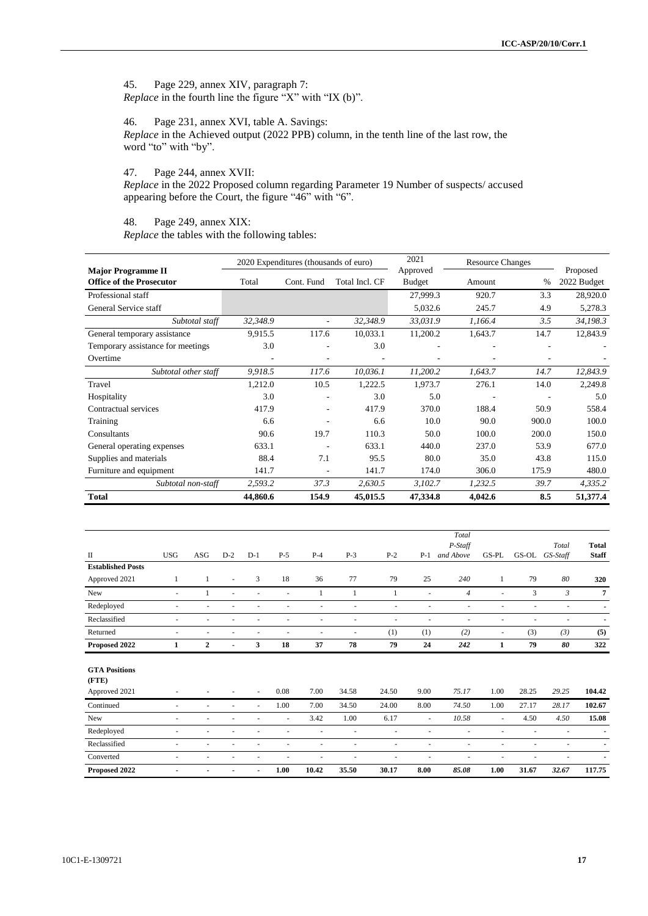45. Page 229, annex XIV, paragraph 7: *Replace* in the fourth line the figure "X" with "IX (b)".

46. Page 231, annex XVI, table A. Savings: *Replace* in the Achieved output (2022 PPB) column, in the tenth line of the last row, the word "to" with "by".

47. Page 244, annex XVII:

*Replace* in the 2022 Proposed column regarding Parameter 19 Number of suspects/ accused appearing before the Court, the figure "46" with "6".

48. Page 249, annex XIX: *Replace* the tables with the following tables:

|                                                              |          | 2020 Expenditures (thousands of euro) |                | 2021                      | <b>Resource Changes</b> |       |                         |
|--------------------------------------------------------------|----------|---------------------------------------|----------------|---------------------------|-------------------------|-------|-------------------------|
| <b>Major Programme II</b><br><b>Office of the Prosecutor</b> | Total    | Cont. Fund                            | Total Incl. CF | Approved<br><b>Budget</b> | Amount                  | $\%$  | Proposed<br>2022 Budget |
|                                                              |          |                                       |                |                           |                         |       |                         |
| Professional staff                                           |          |                                       |                | 27,999.3                  | 920.7                   | 3.3   | 28,920.0                |
| General Service staff                                        |          |                                       |                | 5,032.6                   | 245.7                   | 4.9   | 5,278.3                 |
| Subtotal staff                                               | 32,348.9 | $\overline{\phantom{a}}$              | 32,348.9       | 33,031.9                  | 1,166.4                 | 3.5   | 34,198.3                |
| General temporary assistance                                 | 9,915.5  | 117.6                                 | 10,033.1       | 11,200.2                  | 1,643.7                 | 14.7  | 12,843.9                |
| Temporary assistance for meetings                            | 3.0      |                                       | 3.0            |                           |                         |       |                         |
| Overtime                                                     |          |                                       |                |                           |                         |       |                         |
| Subtotal other staff                                         | 9,918.5  | 117.6                                 | 10,036.1       | 11,200.2                  | 1,643.7                 | 14.7  | 12,843.9                |
| Travel                                                       | 1,212.0  | 10.5                                  | 1,222.5        | 1,973.7                   | 276.1                   | 14.0  | 2,249.8                 |
| Hospitality                                                  | 3.0      | ٠                                     | 3.0            | 5.0                       |                         |       | 5.0                     |
| Contractual services                                         | 417.9    | ٠                                     | 417.9          | 370.0                     | 188.4                   | 50.9  | 558.4                   |
| Training                                                     | 6.6      | ٠                                     | 6.6            | 10.0                      | 90.0                    | 900.0 | 100.0                   |
| Consultants                                                  | 90.6     | 19.7                                  | 110.3          | 50.0                      | 100.0                   | 200.0 | 150.0                   |
| General operating expenses                                   | 633.1    |                                       | 633.1          | 440.0                     | 237.0                   | 53.9  | 677.0                   |
| Supplies and materials                                       | 88.4     | 7.1                                   | 95.5           | 80.0                      | 35.0                    | 43.8  | 115.0                   |
| Furniture and equipment                                      | 141.7    | ٠                                     | 141.7          | 174.0                     | 306.0                   | 175.9 | 480.0                   |
| Subtotal non-staff                                           | 2,593.2  | 37.3                                  | 2,630.5        | 3,102.7                   | 1,232.5                 | 39.7  | 4,335.2                 |
| <b>Total</b>                                                 | 44,860.6 | 154.9                                 | 45,015.5       | 47,334.8                  | 4,042.6                 | 8.5   | 51,377.4                |

|                          |                          |                          |                          |       |           |       |                          |       |                          | Total          |                          |                          |                |                |
|--------------------------|--------------------------|--------------------------|--------------------------|-------|-----------|-------|--------------------------|-------|--------------------------|----------------|--------------------------|--------------------------|----------------|----------------|
|                          |                          |                          |                          |       |           |       |                          |       |                          | P-Staff        |                          |                          | Total          | <b>Total</b>   |
| $\mathbf{I}$             | <b>USG</b>               | <b>ASG</b>               | $D-2$                    | $D-1$ | $P-5$     | $P-4$ | $P-3$                    | $P-2$ | $P-1$                    | and Above      | GS-PL                    | GS-OL                    | GS-Staff       | <b>Staff</b>   |
| <b>Established Posts</b> |                          |                          |                          |       |           |       |                          |       |                          |                |                          |                          |                |                |
| Approved 2021            |                          | 1                        | ٠                        | 3     | 18        | 36    | 77                       | 79    | 25                       | 240            | 1                        | 79                       | 80             | 320            |
| New                      | $\sim$                   |                          | ٠                        | ÷,    | $\bar{a}$ |       |                          | 1     | $\overline{a}$           | $\overline{4}$ | $\overline{\phantom{a}}$ | 3                        | $\mathfrak{Z}$ | 7              |
| Redeployed               |                          |                          |                          |       |           |       | ٠                        | ٠     |                          | ٠              | ٠                        | $\overline{\phantom{a}}$ | ٠              |                |
| Reclassified             | $\overline{\phantom{a}}$ |                          |                          |       | ٠         | ٠     | ٠                        | ٠     |                          | ٠              | ٠                        |                          | ٠              | $\blacksquare$ |
| Returned                 | ۰.                       | $\overline{\phantom{a}}$ | $\overline{\phantom{a}}$ | ٠     | ÷         | ٠     | $\overline{\phantom{a}}$ | (1)   | (1)                      | (2)            | $\sim$                   | (3)                      | (3)            | (5)            |
| Proposed 2022            | 1                        | $\mathbf{2}$             |                          | 3     | 18        | 37    | 78                       | 79    | 24                       | 242            | 1                        | 79                       | 80             | 322            |
|                          |                          |                          |                          |       |           |       |                          |       |                          |                |                          |                          |                |                |
| <b>GTA Positions</b>     |                          |                          |                          |       |           |       |                          |       |                          |                |                          |                          |                |                |
| (FTE)                    |                          |                          |                          |       |           |       |                          |       |                          |                |                          |                          |                |                |
| Approved 2021            |                          |                          |                          | ٠     | 0.08      | 7.00  | 34.58                    | 24.50 | 9.00                     | 75.17          | 1.00                     | 28.25                    | 29.25          | 104.42         |
| Continued                | ٠                        |                          | ٠                        | ٠     | 1.00      | 7.00  | 34.50                    | 24.00 | 8.00                     | 74.50          | 1.00                     | 27.17                    | 28.17          | 102.67         |
| New                      | ٠                        | $\overline{\phantom{a}}$ |                          | ٠     | ٠         | 3.42  | 1.00                     | 6.17  | $\sim$                   | 10.58          | $\sim$                   | 4.50                     | 4.50           | 15.08          |
| Redeployed               | $\overline{\phantom{a}}$ | ٠                        |                          | ٠     | ٠         | ٠     | $\overline{\phantom{a}}$ | ۰     | ٠                        | ٠              | ٠                        | $\overline{\phantom{a}}$ | ٠              |                |
| Reclassified             | $\overline{\phantom{a}}$ |                          |                          |       | ٠         | ٠     | ٠                        | ٠     | $\overline{\phantom{a}}$ | ÷              | ٠                        | $\overline{\phantom{a}}$ |                |                |
| Converted                | $\sim$                   | $\overline{\phantom{a}}$ | $\overline{\phantom{a}}$ | ٠     | ÷         | ÷     | ÷,                       | ٠     | ٠                        | ä,             | ٠                        | ٠                        | ٠              |                |
| Proposed 2022            |                          | $\blacksquare$           |                          | ٠     | 1.00      | 10.42 | 35.50                    | 30.17 | 8.00                     | 85.08          | 1.00                     | 31.67                    | 32.67          | 117.75         |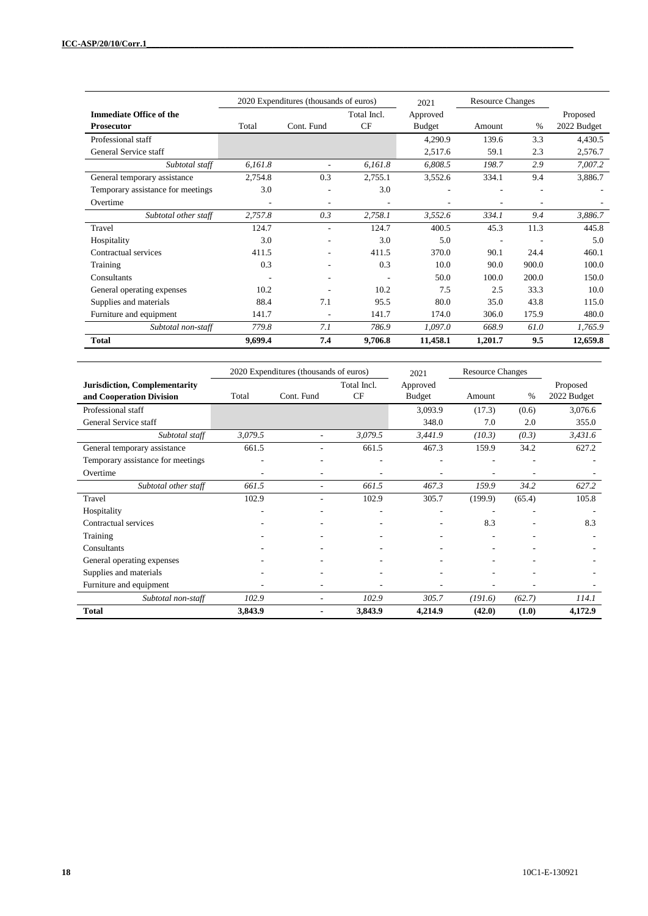|                                   | 2020 Expenditures (thousands of euros) |            |             | 2021     | <b>Resource Changes</b> |       |             |
|-----------------------------------|----------------------------------------|------------|-------------|----------|-------------------------|-------|-------------|
| <b>Immediate Office of the</b>    |                                        |            | Total Incl. | Approved |                         |       | Proposed    |
| <b>Prosecutor</b>                 | Total                                  | Cont. Fund | CF          | Budget   | Amount                  | $\%$  | 2022 Budget |
| Professional staff                |                                        |            |             | 4,290.9  | 139.6                   | 3.3   | 4,430.5     |
| General Service staff             |                                        |            |             | 2,517.6  | 59.1                    | 2.3   | 2,576.7     |
| Subtotal staff                    | 6,161.8                                |            | 6,161.8     | 6,808.5  | 198.7                   | 2.9   | 7,007.2     |
| General temporary assistance      | 2,754.8                                | 0.3        | 2,755.1     | 3,552.6  | 334.1                   | 9.4   | 3,886.7     |
| Temporary assistance for meetings | 3.0                                    |            | 3.0         |          |                         |       |             |
| Overtime                          | $\overline{\phantom{a}}$               | ۰          | ٠           |          | ۰                       |       |             |
| Subtotal other staff              | 2,757.8                                | 0.3        | 2,758.1     | 3,552.6  | 334.1                   | 9.4   | 3,886.7     |
| Travel                            | 124.7                                  | ۰          | 124.7       | 400.5    | 45.3                    | 11.3  | 445.8       |
| Hospitality                       | 3.0                                    |            | 3.0         | 5.0      |                         |       | 5.0         |
| Contractual services              | 411.5                                  |            | 411.5       | 370.0    | 90.1                    | 24.4  | 460.1       |
| Training                          | 0.3                                    |            | 0.3         | 10.0     | 90.0                    | 900.0 | 100.0       |
| Consultants                       |                                        | ۰          |             | 50.0     | 100.0                   | 200.0 | 150.0       |
| General operating expenses        | 10.2                                   |            | 10.2        | 7.5      | 2.5                     | 33.3  | 10.0        |
| Supplies and materials            | 88.4                                   | 7.1        | 95.5        | 80.0     | 35.0                    | 43.8  | 115.0       |
| Furniture and equipment           | 141.7                                  | ۰          | 141.7       | 174.0    | 306.0                   | 175.9 | 480.0       |
| Subtotal non-staff                | 779.8                                  | 7.1        | 786.9       | 1,097.0  | 668.9                   | 61.0  | 1,765.9     |
| <b>Total</b>                      | 9,699.4                                | 7.4        | 9,706.8     | 11,458.1 | 1,201.7                 | 9.5   | 12,659.8    |

|                                      | 2020 Expenditures (thousands of euros) |            |                          | <b>Resource Changes</b><br>2021 |         |        |             |
|--------------------------------------|----------------------------------------|------------|--------------------------|---------------------------------|---------|--------|-------------|
| <b>Jurisdiction, Complementarity</b> |                                        |            | Total Incl.              | Approved                        |         |        | Proposed    |
| and Cooperation Division             | Total                                  | Cont. Fund | CF                       | <b>Budget</b>                   | Amount  | $\%$   | 2022 Budget |
| Professional staff                   |                                        |            |                          | 3,093.9                         | (17.3)  | (0.6)  | 3,076.6     |
| General Service staff                |                                        |            |                          | 348.0                           | 7.0     | 2.0    | 355.0       |
| Subtotal staff                       | 3,079.5                                |            | 3,079.5                  | 3,441.9                         | (10.3)  | (0.3)  | 3,431.6     |
| General temporary assistance         | 661.5                                  |            | 661.5                    | 467.3                           | 159.9   | 34.2   | 627.2       |
| Temporary assistance for meetings    | ٠                                      |            | $\overline{\phantom{a}}$ |                                 | ۰       |        |             |
| Overtime                             |                                        |            |                          |                                 |         |        |             |
| Subtotal other staff                 | 661.5                                  | ٠          | 661.5                    | 467.3                           | 159.9   | 34.2   | 627.2       |
| Travel                               | 102.9                                  |            | 102.9                    | 305.7                           | (199.9) | (65.4) | 105.8       |
| Hospitality                          |                                        |            |                          |                                 |         |        |             |
| Contractual services                 |                                        |            |                          |                                 | 8.3     |        | 8.3         |
| Training                             |                                        |            |                          |                                 |         |        |             |
| Consultants                          |                                        |            |                          |                                 |         |        |             |
| General operating expenses           |                                        |            |                          |                                 |         |        |             |
| Supplies and materials               |                                        |            |                          |                                 |         |        |             |
| Furniture and equipment              |                                        |            |                          |                                 |         |        |             |
| Subtotal non-staff                   | 102.9                                  |            | 102.9                    | 305.7                           | (191.6) | (62.7) | 114.1       |
| <b>Total</b>                         | 3,843.9                                |            | 3,843.9                  | 4,214.9                         | (42.0)  | (1.0)  | 4,172.9     |